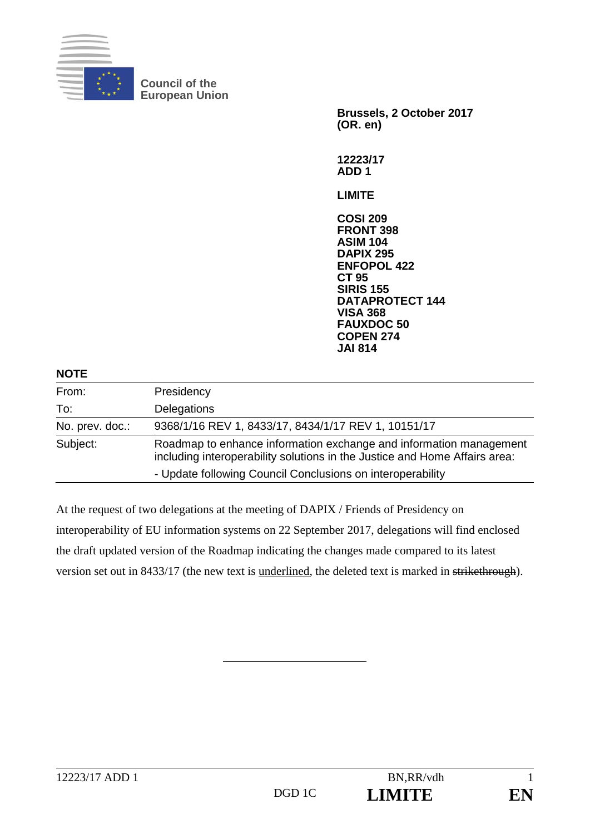

**Council of the European Union** 

**Brussels, 2 October 2017 (OR. en)** 

**12223/17 ADD 1** 

**LIMITE** 

**COSI 209 FRONT 398 ASIM 104 DAPIX 295 ENFOPOL 422 CT 95 SIRIS 155 DATAPROTECT 144 VISA 368 FAUXDOC 50 COPEN 274 JAI 814**

| <b>NOTE</b>     |                                                                                                                                                  |
|-----------------|--------------------------------------------------------------------------------------------------------------------------------------------------|
| From:           | Presidency                                                                                                                                       |
| To:             | Delegations                                                                                                                                      |
| No. prev. doc.: | 9368/1/16 REV 1, 8433/17, 8434/1/17 REV 1, 10151/17                                                                                              |
| Subject:        | Roadmap to enhance information exchange and information management<br>including interoperability solutions in the Justice and Home Affairs area: |
|                 | - Update following Council Conclusions on interoperability                                                                                       |

At the request of two delegations at the meeting of DAPIX / Friends of Presidency on interoperability of EU information systems on 22 September 2017, delegations will find enclosed the draft updated version of the Roadmap indicating the changes made compared to its latest version set out in 8433/17 (the new text is underlined, the deleted text is marked in strikethrough).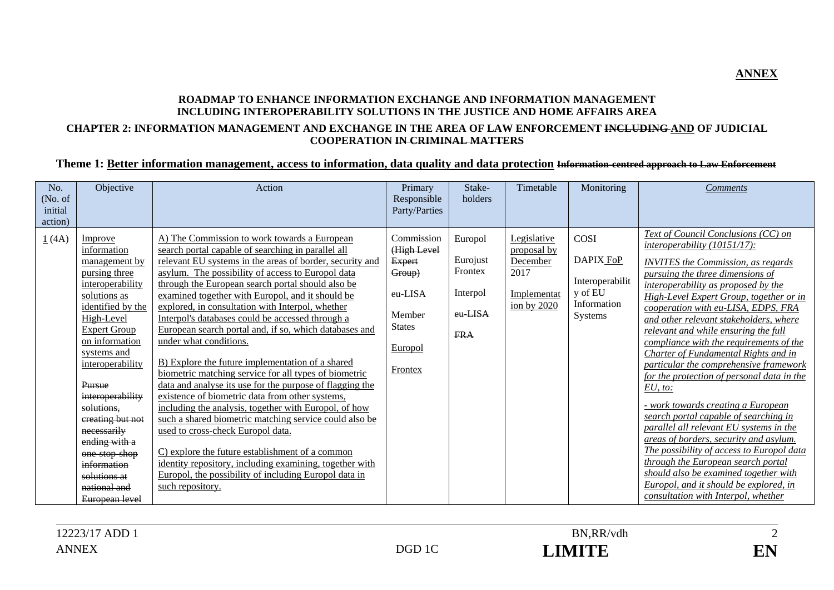#### **ROADMAP TO ENHANCE INFORMATION EXCHANGE AND INFORMATION MANAGEMENT INCLUDING INTEROPERABILITY SOLUTIONS IN THE JUSTICE AND HOME AFFAIRS AREA CHAPTER 2: INFORMATION MANAGEMENT AND EXCHANGE IN THE AREA OF LAW ENFORCEMENT INCLUDING AND OF JUDICIAL**

# **COOPERATION IN CRIMINAL MATTERS**

#### **Theme 1: Better information management, access to information, data quality and data protection Information-centred approach to Law Enforcement**

| No.<br>(No. of<br>initial<br>action) | Objective                                                                                                                                                                                                                                                                                                                                                                                     | Action                                                                                                                                                                                                                                                                                                                                                                                                                                                                                                                                                                                                                                                                                                                                                                                                                                                                                                                                                                                                                                                                                                  | Primary<br>Responsible<br>Party/Parties                                                                   | Stake-<br>holders                                                   | Timetable                                                                      | Monitoring                                                                | <b>Comments</b>                                                                                                                                                                                                                                                                                                                                                                                                                                                                                                                                                                                                                                                                                                                                                                                                                                                                                                                        |
|--------------------------------------|-----------------------------------------------------------------------------------------------------------------------------------------------------------------------------------------------------------------------------------------------------------------------------------------------------------------------------------------------------------------------------------------------|---------------------------------------------------------------------------------------------------------------------------------------------------------------------------------------------------------------------------------------------------------------------------------------------------------------------------------------------------------------------------------------------------------------------------------------------------------------------------------------------------------------------------------------------------------------------------------------------------------------------------------------------------------------------------------------------------------------------------------------------------------------------------------------------------------------------------------------------------------------------------------------------------------------------------------------------------------------------------------------------------------------------------------------------------------------------------------------------------------|-----------------------------------------------------------------------------------------------------------|---------------------------------------------------------------------|--------------------------------------------------------------------------------|---------------------------------------------------------------------------|----------------------------------------------------------------------------------------------------------------------------------------------------------------------------------------------------------------------------------------------------------------------------------------------------------------------------------------------------------------------------------------------------------------------------------------------------------------------------------------------------------------------------------------------------------------------------------------------------------------------------------------------------------------------------------------------------------------------------------------------------------------------------------------------------------------------------------------------------------------------------------------------------------------------------------------|
| 1(4A)                                | Improve<br>information<br>management by<br>pursing three<br>interoperability<br>solutions as<br>identified by the<br>High-Level<br><b>Expert Group</b><br>on information<br>systems and<br>interoperability<br>Pursue<br>interoperability<br>solutions,<br>creating but not<br>necessarily<br>ending with a<br>one stop shop<br>information<br>solutions at<br>national and<br>European level | A) The Commission to work towards a European<br>search portal capable of searching in parallel all<br>relevant EU systems in the areas of border, security and<br>asylum. The possibility of access to Europol data<br>through the European search portal should also be<br>examined together with Europol, and it should be<br>explored, in consultation with Interpol, whether<br>Interpol's databases could be accessed through a<br>European search portal and, if so, which databases and<br>under what conditions.<br>B) Explore the future implementation of a shared<br>biometric matching service for all types of biometric<br>data and analyse its use for the purpose of flagging the<br>existence of biometric data from other systems.<br>including the analysis, together with Europol, of how<br>such a shared biometric matching service could also be<br>used to cross-check Europol data.<br>C) explore the future establishment of a common<br>identity repository, including examining, together with<br>Europol, the possibility of including Europol data in<br>such repository. | Commission<br>(High Level<br>Expert<br>Group)<br>eu-LISA<br>Member<br><b>States</b><br>Europol<br>Frontex | Europol<br>Eurojust<br>Frontex<br>Interpol<br>eu LISA<br><b>FRA</b> | Legislative<br>proposal by<br>December<br>2017<br>Implementat<br>ion by $2020$ | COSI<br>DAPIX FoP<br>Interoperabilit<br>y of EU<br>Information<br>Systems | Text of Council Conclusions (CC) on<br>interoperability (10151/17):<br><b>INVITES</b> the Commission, as regards<br>pursuing the three dimensions of<br>interoperability as proposed by the<br>High-Level Expert Group, together or in<br>cooperation with eu-LISA, EDPS, FRA<br>and other relevant stakeholders, where<br>relevant and while ensuring the full<br>compliance with the requirements of the<br>Charter of Fundamental Rights and in<br>particular the comprehensive framework<br>for the protection of personal data in the<br>EU, to:<br>- work towards creating a European<br>search portal capable of searching in<br>parallel all relevant EU systems in the<br>areas of borders, security and asylum.<br>The possibility of access to Europol data<br>through the European search portal<br>should also be examined together with<br>Europol, and it should be explored, in<br>consultation with Interpol, whether |

ANNEX DGD 1C **LIMITE** EN



**ANNEX**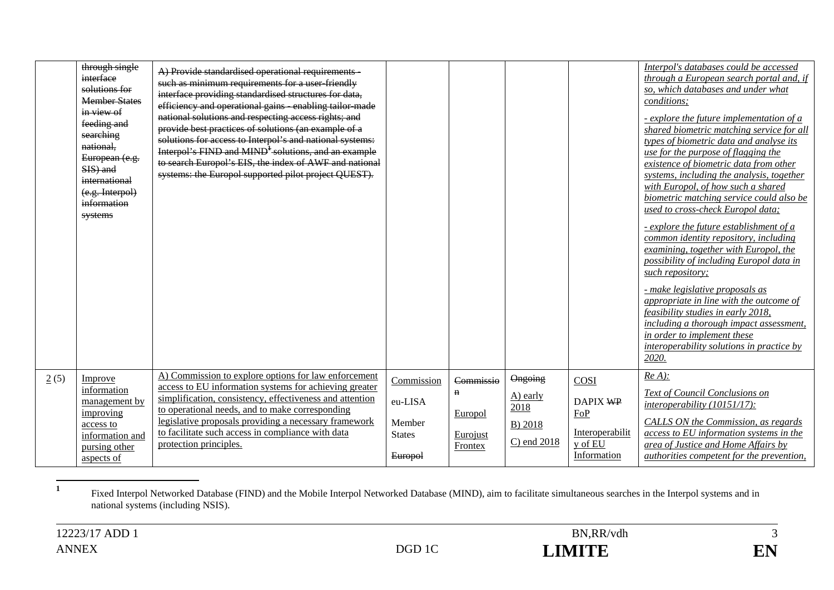| through single<br>interface<br>solutions for<br><b>Member States</b><br>in view of<br>feeding and<br>searching<br>national,<br>European (e.g.<br>SIS) and<br>international<br>(e.g. Interpol)<br>information<br>systems | A) Provide standardised operational requirements<br>such as minimum requirements for a user friendly<br>interface providing standardised structures for data,<br>efficiency and operational gains enabling tailor made<br>national solutions and respecting access rights; and<br>provide best practices of solutions (an example of a<br>solutions for access to Interpol's and national systems:<br>Interpol's FIND and MIND <sup>1</sup> solutions, and an example<br>to search Europol's EIS, the index of AWF and national<br>systems: the Europol supported pilot project QUEST). |                                                             |                                                                   |                                                         |                                                                      | Interpol's databases could be accessed<br>through a European search portal and, if<br>so, which databases and under what<br>conditions;<br>- explore the future implementation of a<br>shared biometric matching service for all<br>types of biometric data and analyse its<br>use for the purpose of flagging the<br>existence of biometric data from other<br>systems, including the analysis, together<br>with Europol, of how such a shared<br>biometric matching service could also be<br>used to cross-check Europol data;<br>- explore the future establishment of a<br>common identity repository, including<br>examining, together with Europol, the<br>possibility of including Europol data in<br>such repository;<br>- make legislative proposals as<br>appropriate in line with the outcome of<br>feasibility studies in early 2018,<br>including a thorough impact assessment,<br>in order to implement these<br>interoperability solutions in practice by<br>2020. |
|-------------------------------------------------------------------------------------------------------------------------------------------------------------------------------------------------------------------------|-----------------------------------------------------------------------------------------------------------------------------------------------------------------------------------------------------------------------------------------------------------------------------------------------------------------------------------------------------------------------------------------------------------------------------------------------------------------------------------------------------------------------------------------------------------------------------------------|-------------------------------------------------------------|-------------------------------------------------------------------|---------------------------------------------------------|----------------------------------------------------------------------|-----------------------------------------------------------------------------------------------------------------------------------------------------------------------------------------------------------------------------------------------------------------------------------------------------------------------------------------------------------------------------------------------------------------------------------------------------------------------------------------------------------------------------------------------------------------------------------------------------------------------------------------------------------------------------------------------------------------------------------------------------------------------------------------------------------------------------------------------------------------------------------------------------------------------------------------------------------------------------------|
| 2(5)<br>Improve<br>information<br>management by<br>improving<br>access to<br>information and<br>pursing other<br>aspects of                                                                                             | A) Commission to explore options for law enforcement<br>access to EU information systems for achieving greater<br>simplification, consistency, effectiveness and attention<br>to operational needs, and to make corresponding<br>legislative proposals providing a necessary framework<br>to facilitate such access in compliance with data<br>protection principles.                                                                                                                                                                                                                   | Commission<br>eu-LISA<br>Member<br><b>States</b><br>Europol | Commissio<br>$\mathbf n$<br>Europol<br>Eurojust<br><b>Frontex</b> | Ongoing<br>$A)$ early<br>2018<br>B) 2018<br>C) end 2018 | COSI<br>DAPIX WP<br>FoP<br>Interoperabilit<br>y of EU<br>Information | $Re A$ ):<br>Text of Council Conclusions on<br>$interoperability (10151/17)$ :<br>CALLS ON the Commission, as regards<br>access to EU information systems in the<br>area of Justice and Home Affairs by<br>authorities competent for the prevention,                                                                                                                                                                                                                                                                                                                                                                                                                                                                                                                                                                                                                                                                                                                              |

**1** Fixed Interpol Networked Database (FIND) and the Mobile Interpol Networked Database (MIND), aim to facilitate simultaneous searches in the Interpol systems and in national systems (including NSIS).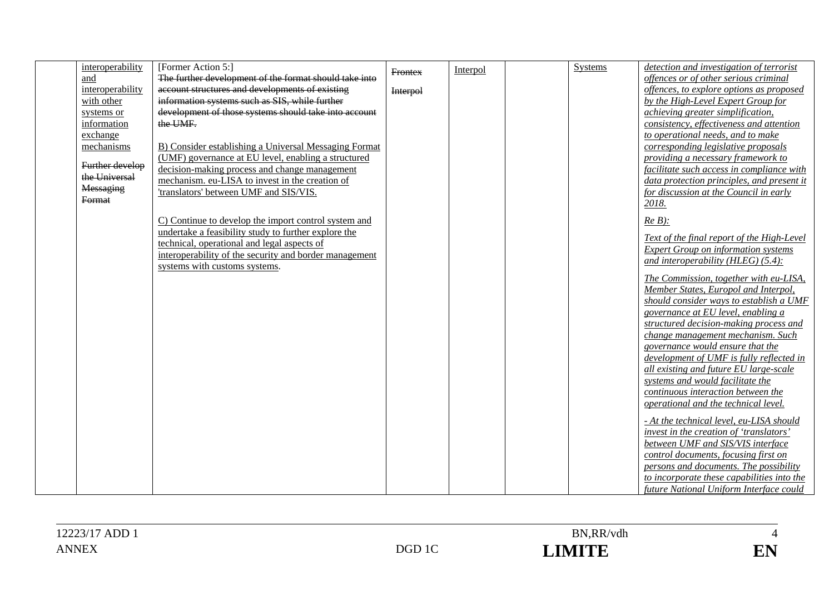| interoperability | [Former Action 5:]                                     | <b>Frontex</b>  | Interpol | <b>Systems</b> | detection and investigation of terrorist                              |
|------------------|--------------------------------------------------------|-----------------|----------|----------------|-----------------------------------------------------------------------|
| and              | The further development of the format should take into |                 |          |                | offences or of other serious criminal                                 |
| interoperability | account structures and developments of existing        | <b>Interpol</b> |          |                | offences, to explore options as proposed                              |
| with other       | information systems such as SIS, while further         |                 |          |                | by the High-Level Expert Group for                                    |
| systems or       | development of those systems should take into account  |                 |          |                | achieving greater simplification,                                     |
| information      | the UMF.                                               |                 |          |                | consistency, effectiveness and attention                              |
| exchange         |                                                        |                 |          |                | to operational needs, and to make                                     |
| mechanisms       | B) Consider establishing a Universal Messaging Format  |                 |          |                | corresponding legislative proposals                                   |
| Further develop  | (UMF) governance at EU level, enabling a structured    |                 |          |                | providing a necessary framework to                                    |
| the Universal    | decision-making process and change management          |                 |          |                | facilitate such access in compliance with                             |
| Messaging        | mechanism. eu-LISA to invest in the creation of        |                 |          |                | data protection principles, and present it                            |
| Format           | 'translators' between UMF and SIS/VIS.                 |                 |          |                | for discussion at the Council in early                                |
|                  |                                                        |                 |          |                | 2018.                                                                 |
|                  | C) Continue to develop the import control system and   |                 |          |                | $Re B$ ):                                                             |
|                  | undertake a feasibility study to further explore the   |                 |          |                | Text of the final report of the High-Level                            |
|                  | technical, operational and legal aspects of            |                 |          |                | <b>Expert Group on information systems</b>                            |
|                  | interoperability of the security and border management |                 |          |                | and interoperability ( $HLEG$ ) (5.4):                                |
|                  | systems with customs systems.                          |                 |          |                |                                                                       |
|                  |                                                        |                 |          |                | The Commission, together with eu-LISA,                                |
|                  |                                                        |                 |          |                | Member States, Europol and Interpol,                                  |
|                  |                                                        |                 |          |                | should consider ways to establish a UMF                               |
|                  |                                                        |                 |          |                | governance at EU level, enabling a                                    |
|                  |                                                        |                 |          |                | structured decision-making process and                                |
|                  |                                                        |                 |          |                | change management mechanism. Such<br>governance would ensure that the |
|                  |                                                        |                 |          |                | development of UMF is fully reflected in                              |
|                  |                                                        |                 |          |                | all existing and future EU large-scale                                |
|                  |                                                        |                 |          |                | systems and would facilitate the                                      |
|                  |                                                        |                 |          |                | continuous interaction between the                                    |
|                  |                                                        |                 |          |                | operational and the technical level.                                  |
|                  |                                                        |                 |          |                |                                                                       |
|                  |                                                        |                 |          |                | - At the technical level, eu-LISA should                              |
|                  |                                                        |                 |          |                | invest in the creation of 'translators'                               |
|                  |                                                        |                 |          |                | between UMF and SIS/VIS interface                                     |
|                  |                                                        |                 |          |                | control documents, focusing first on                                  |
|                  |                                                        |                 |          |                | persons and documents. The possibility                                |
|                  |                                                        |                 |          |                | to incorporate these capabilities into the                            |
|                  |                                                        |                 |          |                | future National Uniform Interface could                               |

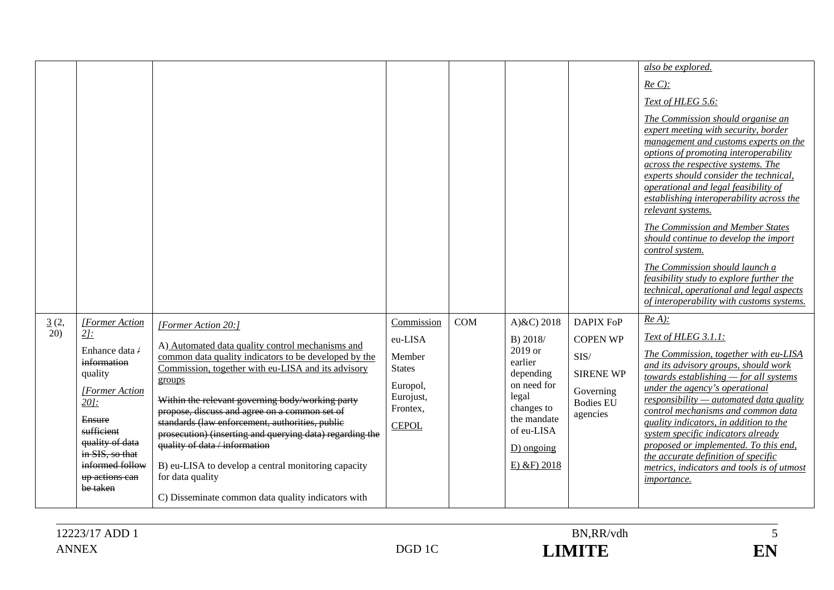|             |                                                                                                                                                                                                                              |                                                                                                                                                                                                                                                                                                                                                                                                                                                                                                                                                                                        |                                                                                                       |            |                                                                                                                                                                 |                                                                                                              | also be explored.<br>$Re C$ :<br>Text of HLEG 5.6:<br>The Commission should organise an<br>expert meeting with security, border<br>management and customs experts on the<br>options of promoting interoperability<br>across the respective systems. The<br>experts should consider the technical,<br>operational and legal feasibility of<br>establishing interoperability across the<br>relevant systems.<br>The Commission and Member States<br>should continue to develop the import<br>control system.<br>The Commission should launch a<br>feasibility study to explore further the<br>technical, operational and legal aspects<br>of interoperability with customs systems. |
|-------------|------------------------------------------------------------------------------------------------------------------------------------------------------------------------------------------------------------------------------|----------------------------------------------------------------------------------------------------------------------------------------------------------------------------------------------------------------------------------------------------------------------------------------------------------------------------------------------------------------------------------------------------------------------------------------------------------------------------------------------------------------------------------------------------------------------------------------|-------------------------------------------------------------------------------------------------------|------------|-----------------------------------------------------------------------------------------------------------------------------------------------------------------|--------------------------------------------------------------------------------------------------------------|-----------------------------------------------------------------------------------------------------------------------------------------------------------------------------------------------------------------------------------------------------------------------------------------------------------------------------------------------------------------------------------------------------------------------------------------------------------------------------------------------------------------------------------------------------------------------------------------------------------------------------------------------------------------------------------|
| 3(2,<br>20) | <b>Former Action</b><br>$2l$ :<br>Enhance data /<br>information<br>quality<br><b>[Former Action</b><br>$20$ :<br>Ensure<br>sufficient<br>quality of data<br>in SIS, so that<br>informed follow<br>up actions can<br>be taken | [Former Action 20:]<br>A) Automated data quality control mechanisms and<br>common data quality indicators to be developed by the<br>Commission, together with eu-LISA and its advisory<br>groups<br>Within the relevant governing body/working party<br>propose, discuss and agree on a common set of<br>standards (law enforcement, authorities, public<br>prosecution) (inserting and querying data) regarding the<br>quality of data / information<br>B) eu-LISA to develop a central monitoring capacity<br>for data quality<br>C) Disseminate common data quality indicators with | Commission<br>eu-LISA<br>Member<br><b>States</b><br>Europol,<br>Eurojust,<br>Frontex,<br><b>CEPOL</b> | <b>COM</b> | A) $&C$ ) 2018<br>B) 2018/<br>2019 or<br>earlier<br>depending<br>on need for<br>legal<br>changes to<br>the mandate<br>of eu-LISA<br>D) ongoing<br>$E)$ &F) 2018 | <b>DAPIX FoP</b><br><b>COPEN WP</b><br>SIS/<br><b>SIRENE WP</b><br>Governing<br><b>Bodies EU</b><br>agencies | $Re A$ ):<br>Text of HLEG 3.1.1:<br>The Commission, together with eu-LISA<br>and its advisory groups, should work<br>towards establishing $-$ for all systems<br>under the agency's operational<br>responsibility—automated data quality<br>control mechanisms and common data<br>quality indicators, in addition to the<br>system specific indicators already<br>proposed or implemented. To this end,<br>the accurate definition of specific<br>metrics, indicators and tools is of utmost<br><i>importance.</i>                                                                                                                                                                |

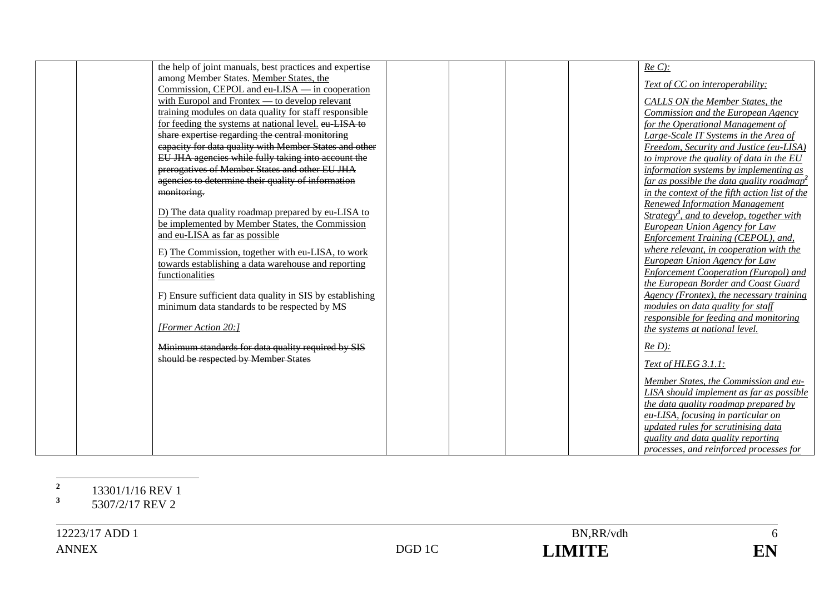| the help of joint manuals, best practices and expertise  | $Re C$ :                                                   |
|----------------------------------------------------------|------------------------------------------------------------|
| among Member States. Member States, the                  |                                                            |
| Commission, CEPOL and eu-LISA — in cooperation           | Text of CC on interoperability:                            |
| with Europol and Frontex — to develop relevant           | CALLS ON the Member States, the                            |
| training modules on data quality for staff responsible   | Commission and the European Agency                         |
| for feeding the systems at national level. eu LISA to    | for the Operational Management of                          |
| share expertise regarding the central monitoring         | Large-Scale IT Systems in the Area of                      |
| capacity for data quality with Member States and other   | Freedom, Security and Justice (eu-LISA)                    |
| EU JHA agencies while fully taking into account the      | to improve the quality of data in the EU                   |
| prerogatives of Member States and other EU JHA           | information systems by implementing as                     |
| agencies to determine their quality of information       | far as possible the data quality roadmap <sup>2</sup>      |
| monitoring.                                              | in the context of the fifth action list of the             |
|                                                          | <b>Renewed Information Management</b>                      |
| D) The data quality roadmap prepared by eu-LISA to       | <u>Strategy<sup>3</sup>, and to develop, together with</u> |
| be implemented by Member States, the Commission          | European Union Agency for Law                              |
| and eu-LISA as far as possible                           | Enforcement Training (CEPOL), and,                         |
| E) The Commission, together with eu-LISA, to work        | where relevant, in cooperation with the                    |
| towards establishing a data warehouse and reporting      | European Union Agency for Law                              |
| functionalities                                          | <b>Enforcement Cooperation (Europol) and</b>               |
|                                                          | the European Border and Coast Guard                        |
| F) Ensure sufficient data quality in SIS by establishing | Agency (Frontex), the necessary training                   |
| minimum data standards to be respected by MS             | modules on data quality for staff                          |
|                                                          | responsible for feeding and monitoring                     |
| [Former Action 20:]                                      | the systems at national level.                             |
| Minimum standards for data quality required by SIS       | $Re D$ :                                                   |
| should be respected by Member States                     |                                                            |
|                                                          | Text of HLEG 3.1.1:                                        |
|                                                          | Member States, the Commission and eu-                      |
|                                                          | LISA should implement as far as possible                   |
|                                                          | the data quality roadmap prepared by                       |
|                                                          | eu-LISA, focusing in particular on                         |
|                                                          | updated rules for scrutinising data                        |
|                                                          | quality and data quality reporting                         |
|                                                          | processes, and reinforced processes for                    |

# **<sup>2</sup>** 13301/1/16 REV 1

**<sup>3</sup>** 5307/2/17 REV 2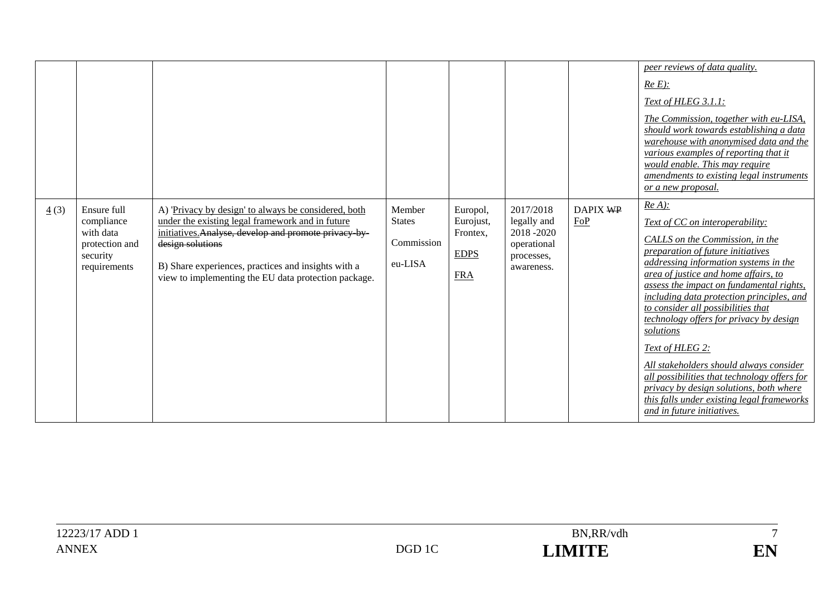|                     |                                                                                      |                                                                                                                                                                                                                                                                                                     |                                                  |                                                                |                                                                                  |                 | peer reviews of data quality.<br>$Re E)$ :<br>Text of HLEG 3.1.1:<br>The Commission, together with eu-LISA,<br>should work towards establishing a data<br>warehouse with anonymised data and the<br>various examples of reporting that it<br>would enable. This may require<br>amendments to existing legal instruments<br><u>or a new proposal.</u>                                                                                                                                                                                                                                                                              |
|---------------------|--------------------------------------------------------------------------------------|-----------------------------------------------------------------------------------------------------------------------------------------------------------------------------------------------------------------------------------------------------------------------------------------------------|--------------------------------------------------|----------------------------------------------------------------|----------------------------------------------------------------------------------|-----------------|-----------------------------------------------------------------------------------------------------------------------------------------------------------------------------------------------------------------------------------------------------------------------------------------------------------------------------------------------------------------------------------------------------------------------------------------------------------------------------------------------------------------------------------------------------------------------------------------------------------------------------------|
| $\underline{4}$ (3) | Ensure full<br>compliance<br>with data<br>protection and<br>security<br>requirements | A) 'Privacy by design' to always be considered, both<br>under the existing legal framework and in future<br>initiatives. Analyse, develop and promote privacy by<br>design solutions<br>B) Share experiences, practices and insights with a<br>view to implementing the EU data protection package. | Member<br><b>States</b><br>Commission<br>eu-LISA | Europol,<br>Eurojust,<br>Frontex,<br><b>EDPS</b><br><b>FRA</b> | 2017/2018<br>legally and<br>2018-2020<br>operational<br>processes,<br>awareness. | DAPIX WP<br>EoP | $Re A)$ :<br>Text of CC on interoperability:<br>CALLS on the Commission, in the<br>preparation of future initiatives<br>addressing information systems in the<br>area of justice and home affairs, to<br>assess the impact on fundamental rights,<br>including data protection principles, and<br>to consider all possibilities that<br>technology offers for privacy by design<br>solutions<br>Text of HLEG 2:<br>All stakeholders should always consider<br>all possibilities that technology offers for<br>privacy by design solutions, both where<br>this falls under existing legal frameworks<br>and in future initiatives. |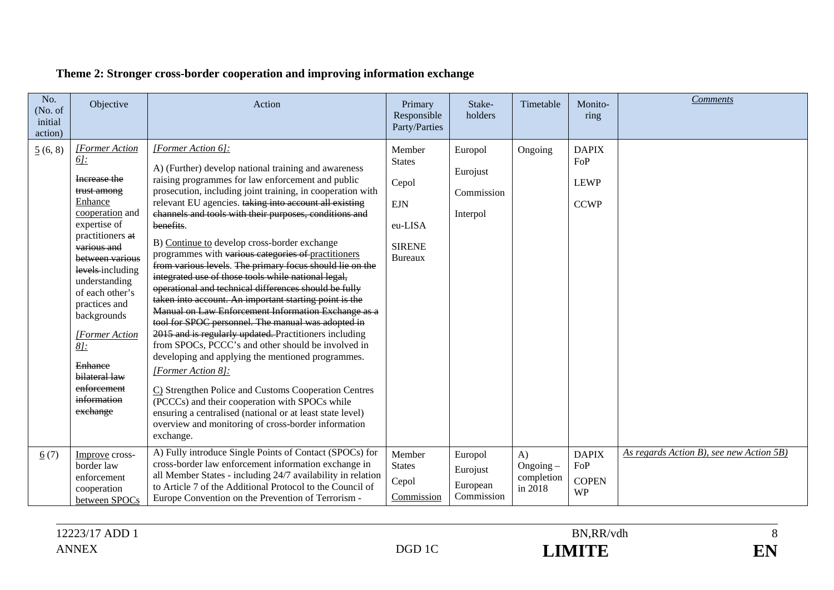| No.<br>(No. of<br>initial<br>action) | Objective                                                                                                                                                                                                                                                                                                                                                                         | Action                                                                                                                                                                                                                                                                                                                                                                                                                                                                                                                                                                                                                                                                                                                                                                                                                                                                                                                                                                                                                                                                                                                                                                                                                         | Primary<br>Responsible<br>Party/Parties                                                      | Stake-<br>holders                             | Timetable                                        | Monito-<br>ring                                   | <b>Comments</b>                          |
|--------------------------------------|-----------------------------------------------------------------------------------------------------------------------------------------------------------------------------------------------------------------------------------------------------------------------------------------------------------------------------------------------------------------------------------|--------------------------------------------------------------------------------------------------------------------------------------------------------------------------------------------------------------------------------------------------------------------------------------------------------------------------------------------------------------------------------------------------------------------------------------------------------------------------------------------------------------------------------------------------------------------------------------------------------------------------------------------------------------------------------------------------------------------------------------------------------------------------------------------------------------------------------------------------------------------------------------------------------------------------------------------------------------------------------------------------------------------------------------------------------------------------------------------------------------------------------------------------------------------------------------------------------------------------------|----------------------------------------------------------------------------------------------|-----------------------------------------------|--------------------------------------------------|---------------------------------------------------|------------------------------------------|
| 5(6, 8)                              | <b>[Former Action</b><br><u> 61:</u><br>Increase the<br>trust among<br>Enhance<br>cooperation and<br>expertise of<br>practitioners at<br>various and<br>between various<br>levels-including<br>understanding<br>of each other's<br>practices and<br>backgrounds<br><i>[Former Action</i> ]<br>$8$ j:<br><b>Enhance</b><br>bilateral law<br>enforcement<br>information<br>exchange | [Former Action 6]:<br>A) (Further) develop national training and awareness<br>raising programmes for law enforcement and public<br>prosecution, including joint training, in cooperation with<br>relevant EU agencies. taking into account all existing<br>channels and tools with their purposes, conditions and<br>benefits.<br>B) Continue to develop cross-border exchange<br>programmes with various categories of practitioners<br>from various levels. The primary focus should lie on the<br>integrated use of those tools while national legal,<br>operational and technical differences should be fully<br>taken into account. An important starting point is the<br>Manual on Law Enforcement Information Exchange as a<br>tool for SPOC personnel. The manual was adopted in<br>2015 and is regularly updated. Practitioners including<br>from SPOCs, PCCC's and other should be involved in<br>developing and applying the mentioned programmes.<br>[Former Action 8]:<br>C) Strengthen Police and Customs Cooperation Centres<br>(PCCCs) and their cooperation with SPOCs while<br>ensuring a centralised (national or at least state level)<br>overview and monitoring of cross-border information<br>exchange. | Member<br><b>States</b><br>Cepol<br><b>EJN</b><br>eu-LISA<br><b>SIRENE</b><br><b>Bureaux</b> | Europol<br>Eurojust<br>Commission<br>Interpol | Ongoing                                          | <b>DAPIX</b><br>FoP<br><b>LEWP</b><br><b>CCWP</b> |                                          |
| 6(7)                                 | Improve cross-<br>border law<br>enforcement<br>cooperation<br>between SPOCs                                                                                                                                                                                                                                                                                                       | A) Fully introduce Single Points of Contact (SPOCs) for<br>cross-border law enforcement information exchange in<br>all Member States - including 24/7 availability in relation<br>to Article 7 of the Additional Protocol to the Council of<br>Europe Convention on the Prevention of Terrorism -                                                                                                                                                                                                                                                                                                                                                                                                                                                                                                                                                                                                                                                                                                                                                                                                                                                                                                                              | Member<br><b>States</b><br>Cepol<br>Commission                                               | Europol<br>Eurojust<br>European<br>Commission | $\bf{A}$<br>Ongoing $-$<br>completion<br>in 2018 | <b>DAPIX</b><br>FoP<br><b>COPEN</b><br><b>WP</b>  | As regards Action B), see new Action 5B) |

# **Theme 2: Stronger cross-border cooperation and improving information exchange**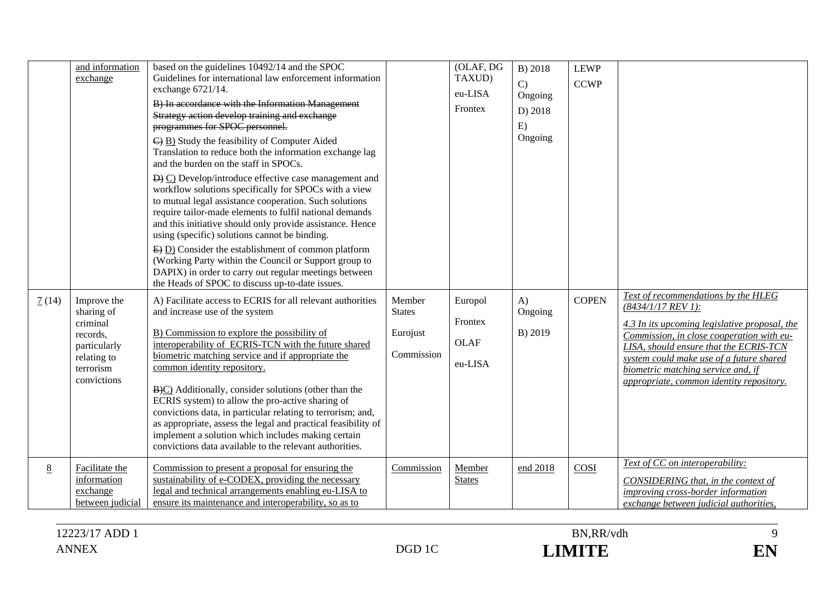|                 | and information<br>exchange                                                                                  | based on the guidelines 10492/14 and the SPOC<br>Guidelines for international law enforcement information<br>exchange 6721/14.<br>B) In accordance with the Information Management<br>Strategy action develop training and exchange<br>programmes for SPOC personnel.<br>$\overline{\Theta}$ B) Study the feasibility of Computer Aided<br>Translation to reduce both the information exchange lag<br>and the burden on the staff in SPOCs.<br>$\overrightarrow{D}$ $\overrightarrow{C}$ ) Develop/introduce effective case management and<br>workflow solutions specifically for SPOCs with a view<br>to mutual legal assistance cooperation. Such solutions<br>require tailor-made elements to fulfil national demands<br>and this initiative should only provide assistance. Hence<br>using (specific) solutions cannot be binding.<br>$\overline{E}$ D) Consider the establishment of common platform<br>(Working Party within the Council or Support group to<br>DAPIX) in order to carry out regular meetings between<br>the Heads of SPOC to discuss up-to-date issues. |                                                   | (OLAF, DG<br>TAXUD)<br>eu-LISA<br>Frontex    | B) 2018<br>$\mathcal{C}$<br>Ongoing<br>D) 2018<br>E)<br>Ongoing | <b>LEWP</b><br><b>CCWP</b> |                                                                                                                                                                                                                                                                                                                                   |
|-----------------|--------------------------------------------------------------------------------------------------------------|--------------------------------------------------------------------------------------------------------------------------------------------------------------------------------------------------------------------------------------------------------------------------------------------------------------------------------------------------------------------------------------------------------------------------------------------------------------------------------------------------------------------------------------------------------------------------------------------------------------------------------------------------------------------------------------------------------------------------------------------------------------------------------------------------------------------------------------------------------------------------------------------------------------------------------------------------------------------------------------------------------------------------------------------------------------------------------|---------------------------------------------------|----------------------------------------------|-----------------------------------------------------------------|----------------------------|-----------------------------------------------------------------------------------------------------------------------------------------------------------------------------------------------------------------------------------------------------------------------------------------------------------------------------------|
| 7(14)           | Improve the<br>sharing of<br>criminal<br>records,<br>particularly<br>relating to<br>terrorism<br>convictions | A) Facilitate access to ECRIS for all relevant authorities<br>and increase use of the system<br>B) Commission to explore the possibility of<br>interoperability of ECRIS-TCN with the future shared<br>biometric matching service and if appropriate the<br>common identity repository.<br>B(c) Additionally, consider solutions (other than the<br>ECRIS system) to allow the pro-active sharing of<br>convictions data, in particular relating to terrorism; and,<br>as appropriate, assess the legal and practical feasibility of<br>implement a solution which includes making certain<br>convictions data available to the relevant authorities.                                                                                                                                                                                                                                                                                                                                                                                                                          | Member<br><b>States</b><br>Eurojust<br>Commission | Europol<br>Frontex<br><b>OLAF</b><br>eu-LISA | A)<br>Ongoing<br>B) 2019                                        | <b>COPEN</b>               | Text of recommendations by the HLEG<br>$(8434/1/17$ REV 1):<br>4.3 In its upcoming legislative proposal, the<br>Commission, in close cooperation with eu-<br>LISA, should ensure that the ECRIS-TCN<br>system could make use of a future shared<br>biometric matching service and, if<br>appropriate, common identity repository. |
| $8\overline{8}$ | Facilitate the<br>information<br>exchange<br>between judicial                                                | Commission to present a proposal for ensuring the<br>sustainability of e-CODEX, providing the necessary<br>legal and technical arrangements enabling eu-LISA to<br>ensure its maintenance and interoperability, so as to                                                                                                                                                                                                                                                                                                                                                                                                                                                                                                                                                                                                                                                                                                                                                                                                                                                       | Commission                                        | Member<br><b>States</b>                      | end 2018                                                        | COSI                       | Text of CC on interoperability:<br>CONSIDERING that, in the context of<br>improving cross-border information<br>exchange between judicial authorities,                                                                                                                                                                            |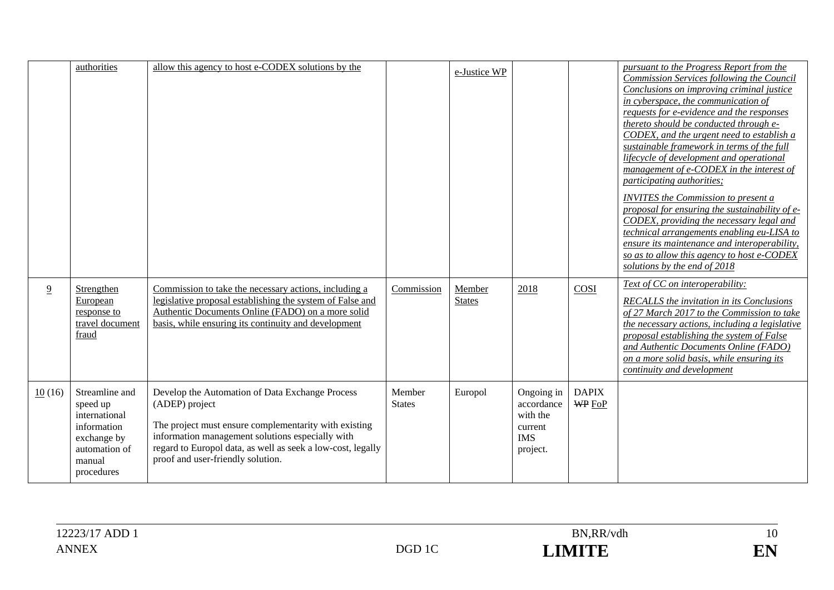| $\overline{9}$ | authorities<br>Strengthen<br>European<br>response to                                                               | allow this agency to host e-CODEX solutions by the<br>Commission to take the necessary actions, including a<br>legislative proposal establishing the system of False and<br>Authentic Documents Online (FADO) on a more solid                                                      | Commission              | e-Justice WP<br>Member<br><b>States</b> | 2018                                                                      | COSI                          | pursuant to the Progress Report from the<br>Commission Services following the Council<br>Conclusions on improving criminal justice<br>in cyberspace, the communication of<br>requests for e-evidence and the responses<br>thereto should be conducted through e-<br>CODEX, and the urgent need to establish a<br>sustainable framework in terms of the full<br>lifecycle of development and operational<br>management of e-CODEX in the interest of<br>participating authorities;<br><b>INVITES</b> the Commission to present a<br>proposal for ensuring the sustainability of e-<br>CODEX, providing the necessary legal and<br>technical arrangements enabling eu-LISA to<br>ensure its maintenance and interoperability,<br>so as to allow this agency to host e-CODEX<br>solutions by the end of 2018<br>Text of CC on interoperability:<br>RECALLS the invitation in its Conclusions<br>of 27 March 2017 to the Commission to take |
|----------------|--------------------------------------------------------------------------------------------------------------------|------------------------------------------------------------------------------------------------------------------------------------------------------------------------------------------------------------------------------------------------------------------------------------|-------------------------|-----------------------------------------|---------------------------------------------------------------------------|-------------------------------|-----------------------------------------------------------------------------------------------------------------------------------------------------------------------------------------------------------------------------------------------------------------------------------------------------------------------------------------------------------------------------------------------------------------------------------------------------------------------------------------------------------------------------------------------------------------------------------------------------------------------------------------------------------------------------------------------------------------------------------------------------------------------------------------------------------------------------------------------------------------------------------------------------------------------------------------|
|                | travel document<br>fraud                                                                                           | basis, while ensuring its continuity and development                                                                                                                                                                                                                               |                         |                                         |                                                                           |                               | the necessary actions, including a legislative<br>proposal establishing the system of False<br>and Authentic Documents Online (FADO)<br>on a more solid basis, while ensuring its<br>continuity and development                                                                                                                                                                                                                                                                                                                                                                                                                                                                                                                                                                                                                                                                                                                         |
| 10(16)         | Streamline and<br>speed up<br>international<br>information<br>exchange by<br>automation of<br>manual<br>procedures | Develop the Automation of Data Exchange Process<br>(ADEP) project<br>The project must ensure complementarity with existing<br>information management solutions especially with<br>regard to Europol data, as well as seek a low-cost, legally<br>proof and user-friendly solution. | Member<br><b>States</b> | Europol                                 | Ongoing in<br>accordance<br>with the<br>current<br><b>IMS</b><br>project. | <b>DAPIX</b><br><b>WP</b> FoP |                                                                                                                                                                                                                                                                                                                                                                                                                                                                                                                                                                                                                                                                                                                                                                                                                                                                                                                                         |

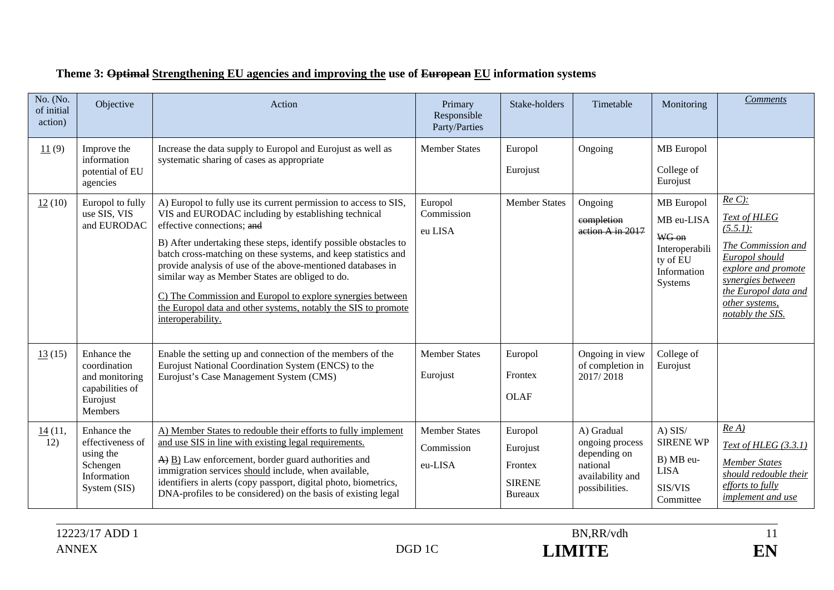| No. (No.<br>of initial<br>action) | Objective                                                                               | Action                                                                                                                                                                                                                                                                                                                                                                                                                                                                                                                                                             | Primary<br>Responsible<br>Party/Parties       | Stake-holders                                                     | Timetable                                                                                       | Monitoring                                                                                | <b>Comments</b>                                                                                                                                                                               |
|-----------------------------------|-----------------------------------------------------------------------------------------|--------------------------------------------------------------------------------------------------------------------------------------------------------------------------------------------------------------------------------------------------------------------------------------------------------------------------------------------------------------------------------------------------------------------------------------------------------------------------------------------------------------------------------------------------------------------|-----------------------------------------------|-------------------------------------------------------------------|-------------------------------------------------------------------------------------------------|-------------------------------------------------------------------------------------------|-----------------------------------------------------------------------------------------------------------------------------------------------------------------------------------------------|
| 11(9)                             | Improve the<br>information<br>potential of EU<br>agencies                               | Increase the data supply to Europol and Eurojust as well as<br>systematic sharing of cases as appropriate                                                                                                                                                                                                                                                                                                                                                                                                                                                          | <b>Member States</b>                          | Europol<br>Eurojust                                               | Ongoing                                                                                         | <b>MB</b> Europol<br>College of<br>Eurojust                                               |                                                                                                                                                                                               |
| 12(10)                            | Europol to fully<br>use SIS, VIS<br>and EURODAC                                         | A) Europol to fully use its current permission to access to SIS,<br>VIS and EURODAC including by establishing technical<br>effective connections; and<br>B) After undertaking these steps, identify possible obstacles to<br>batch cross-matching on these systems, and keep statistics and<br>provide analysis of use of the above-mentioned databases in<br>similar way as Member States are obliged to do.<br>C) The Commission and Europol to explore synergies between<br>the Europol data and other systems, notably the SIS to promote<br>interoperability. | Europol<br>Commission<br>eu LISA              | <b>Member States</b>                                              | Ongoing<br>completion<br>action A in 2017                                                       | MB Europol<br>MB eu-LISA<br>WG on<br>Interoperabili<br>ty of EU<br>Information<br>Systems | $Re C$ :<br><b>Text of HLEG</b><br>(5.5.1):<br>The Commission and<br>Europol should<br>explore and promote<br>synergies between<br>the Europol data and<br>other systems,<br>notably the SIS. |
| 13(15)                            | Enhance the<br>coordination<br>and monitoring<br>capabilities of<br>Eurojust<br>Members | Enable the setting up and connection of the members of the<br>Eurojust National Coordination System (ENCS) to the<br>Eurojust's Case Management System (CMS)                                                                                                                                                                                                                                                                                                                                                                                                       | <b>Member States</b><br>Eurojust              | Europol<br>Frontex<br><b>OLAF</b>                                 | Ongoing in view<br>of completion in<br>2017/2018                                                | College of<br>Eurojust                                                                    |                                                                                                                                                                                               |
| 14(11,<br>12)                     | Enhance the<br>effectiveness of<br>using the<br>Schengen<br>Information<br>System (SIS) | A) Member States to redouble their efforts to fully implement<br>and use SIS in line with existing legal requirements.<br>$\overrightarrow{A}$ $\underrightarrow{B}$ ) Law enforcement, border guard authorities and<br>immigration services should include, when available,<br>identifiers in alerts (copy passport, digital photo, biometrics,<br>DNA-profiles to be considered) on the basis of existing legal                                                                                                                                                  | <b>Member States</b><br>Commission<br>eu-LISA | Europol<br>Eurojust<br>Frontex<br><b>SIRENE</b><br><b>Bureaux</b> | A) Gradual<br>ongoing process<br>depending on<br>national<br>availability and<br>possibilities. | $A)$ SIS/<br><b>SIRENE WP</b><br>B) MB eu-<br><b>LISA</b><br>SIS/VIS<br>Committee         | $Re\ A)$<br>Text of HLEG $(3.3.1)$<br><b>Member States</b><br>should redouble their<br>efforts to fully<br>implement and use                                                                  |

# **Theme 3: Optimal Strengthening EU agencies and improving the use of European EU information systems**

EN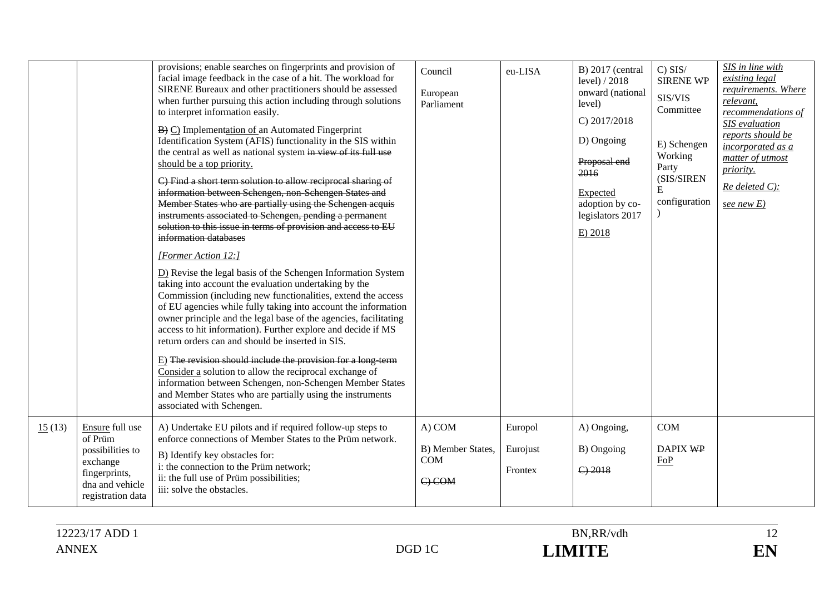|        |                                                                                                                     | provisions; enable searches on fingerprints and provision of<br>facial image feedback in the case of a hit. The workload for<br>SIRENE Bureaux and other practitioners should be assessed<br>when further pursuing this action including through solutions<br>to interpret information easily.<br>$\overline{B}$ $\overline{C}$ ) Implementation of an Automated Fingerprint<br>Identification System (AFIS) functionality in the SIS within<br>the central as well as national system in view of its full use<br>should be a top priority.<br>C) Find a short term solution to allow reciprocal sharing of<br>information between Schengen, non Schengen States and<br>Member States who are partially using the Schengen acquis<br>instruments associated to Schengen, pending a permanent<br>solution to this issue in terms of provision and access to EU<br>information databases<br>[Former Action 12:]<br>D) Revise the legal basis of the Schengen Information System<br>taking into account the evaluation undertaking by the<br>Commission (including new functionalities, extend the access<br>of EU agencies while fully taking into account the information<br>owner principle and the legal base of the agencies, facilitating<br>access to hit information). Further explore and decide if MS<br>return orders can and should be inserted in SIS.<br>$E$ ) The revision should include the provision for a long term<br>Consider a solution to allow the reciprocal exchange of<br>information between Schengen, non-Schengen Member States<br>and Member States who are partially using the instruments<br>associated with Schengen. | Council<br>European<br>Parliament               | eu-LISA                        | $B)$ 2017 (central<br>level) / 2018<br>onward (national<br>level)<br>C) 2017/2018<br>D) Ongoing<br>Proposal end<br>2016<br>Expected<br>adoption by co-<br>legislators 2017<br>E) 2018 | $C)$ SIS/<br><b>SIRENE WP</b><br>SIS/VIS<br>Committee<br>E) Schengen<br>Working<br>Party<br>(SIS/SIREN<br>E<br>configuration | SIS in line with<br>existing legal<br>requirements. Where<br>relevant,<br>recommendations of<br>SIS evaluation<br>reports should be<br>incorporated as a<br>matter of utmost<br>priority.<br>$Re$ deleted $C$ ):<br>see new $E$ ) |
|--------|---------------------------------------------------------------------------------------------------------------------|------------------------------------------------------------------------------------------------------------------------------------------------------------------------------------------------------------------------------------------------------------------------------------------------------------------------------------------------------------------------------------------------------------------------------------------------------------------------------------------------------------------------------------------------------------------------------------------------------------------------------------------------------------------------------------------------------------------------------------------------------------------------------------------------------------------------------------------------------------------------------------------------------------------------------------------------------------------------------------------------------------------------------------------------------------------------------------------------------------------------------------------------------------------------------------------------------------------------------------------------------------------------------------------------------------------------------------------------------------------------------------------------------------------------------------------------------------------------------------------------------------------------------------------------------------------------------------------------------------------------------------------------------|-------------------------------------------------|--------------------------------|---------------------------------------------------------------------------------------------------------------------------------------------------------------------------------------|------------------------------------------------------------------------------------------------------------------------------|-----------------------------------------------------------------------------------------------------------------------------------------------------------------------------------------------------------------------------------|
| 15(13) | Ensure full use<br>of Prüm<br>possibilities to<br>exchange<br>fingerprints,<br>dna and vehicle<br>registration data | A) Undertake EU pilots and if required follow-up steps to<br>enforce connections of Member States to the Prüm network.<br>B) Identify key obstacles for:<br>i: the connection to the Prüm network;<br>ii: the full use of Prüm possibilities;<br>iii: solve the obstacles.                                                                                                                                                                                                                                                                                                                                                                                                                                                                                                                                                                                                                                                                                                                                                                                                                                                                                                                                                                                                                                                                                                                                                                                                                                                                                                                                                                           | A) COM<br>B) Member States,<br>COM<br>$C$ ) COM | Europol<br>Eurojust<br>Frontex | A) Ongoing,<br>B) Ongoing<br>$C$ ) 2018                                                                                                                                               | <b>COM</b><br>DAPIX WP<br>FoP                                                                                                |                                                                                                                                                                                                                                   |



EN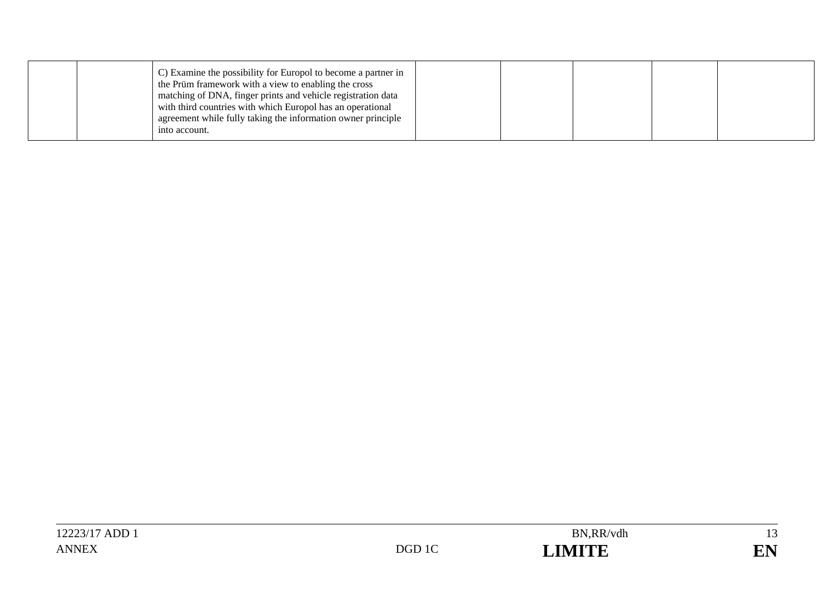| C) Examine the possibility for Europol to become a partner in<br>the Prüm framework with a view to enabling the cross<br>matching of DNA, finger prints and vehicle registration data<br>with third countries with which Europol has an operational<br>agreement while fully taking the information owner principle<br>into account. |  |  |  |  |
|--------------------------------------------------------------------------------------------------------------------------------------------------------------------------------------------------------------------------------------------------------------------------------------------------------------------------------------|--|--|--|--|
|--------------------------------------------------------------------------------------------------------------------------------------------------------------------------------------------------------------------------------------------------------------------------------------------------------------------------------------|--|--|--|--|

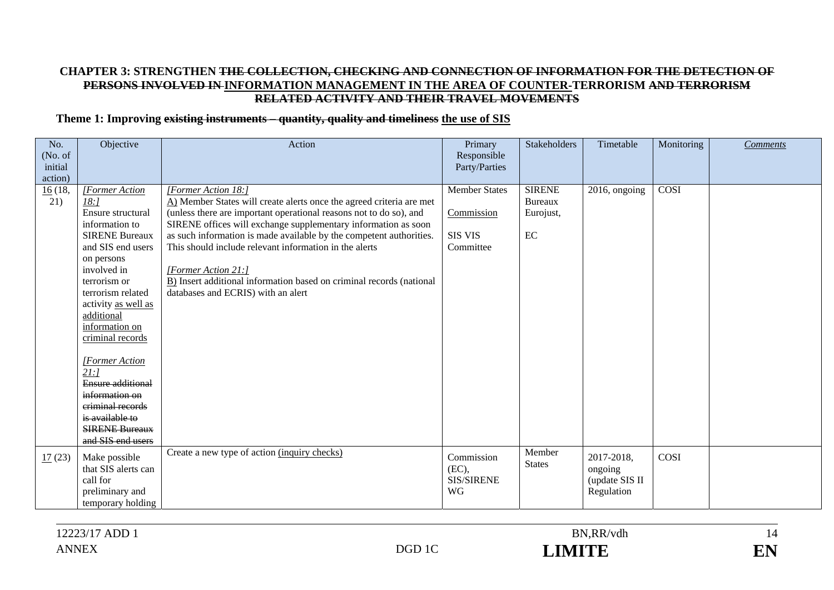#### **CHAPTER 3: STRENGTHEN THE COLLECTION, CHECKING AND CONNECTION OF INFORMATION FOR THE DETECTION OF PERSONS INVOLVED IN INFORMATION MANAGEMENT IN THE AREA OF COUNTER-TERRORISM AND TERRORISM RELATED ACTIVITY AND THEIR TRAVEL MOVEMENTS**

#### **Theme 1: Improving existing instruments – quantity, quality and timeliness the use of SIS**

| No.<br>(No. of<br>initial | Objective                 | Action                                                                                                                                     | Primary<br>Responsible<br>Party/Parties | <b>Stakeholders</b> | Timetable      | Monitoring | <b>Comments</b> |
|---------------------------|---------------------------|--------------------------------------------------------------------------------------------------------------------------------------------|-----------------------------------------|---------------------|----------------|------------|-----------------|
| action)                   |                           |                                                                                                                                            |                                         |                     |                |            |                 |
| 16(18,                    | [Former Action            | [Former Action 18:]                                                                                                                        | <b>Member States</b>                    | <b>SIRENE</b>       | 2016, ongoing  | COSI       |                 |
| 21)                       | 18:1<br>Ensure structural | A) Member States will create alerts once the agreed criteria are met<br>(unless there are important operational reasons not to do so), and | Commission                              | <b>Bureaux</b>      |                |            |                 |
|                           | information to            | SIRENE offices will exchange supplementary information as soon                                                                             |                                         | Eurojust,           |                |            |                 |
|                           | <b>SIRENE Bureaux</b>     | as such information is made available by the competent authorities.                                                                        | SIS VIS                                 | EC                  |                |            |                 |
|                           | and SIS end users         | This should include relevant information in the alerts                                                                                     | Committee                               |                     |                |            |                 |
|                           | on persons                |                                                                                                                                            |                                         |                     |                |            |                 |
|                           | involved in               | [Former Action 21:]                                                                                                                        |                                         |                     |                |            |                 |
|                           | terrorism or              | B) Insert additional information based on criminal records (national                                                                       |                                         |                     |                |            |                 |
|                           | terrorism related         | databases and ECRIS) with an alert                                                                                                         |                                         |                     |                |            |                 |
|                           | activity as well as       |                                                                                                                                            |                                         |                     |                |            |                 |
|                           | additional                |                                                                                                                                            |                                         |                     |                |            |                 |
|                           | information on            |                                                                                                                                            |                                         |                     |                |            |                 |
|                           | criminal records          |                                                                                                                                            |                                         |                     |                |            |                 |
|                           |                           |                                                                                                                                            |                                         |                     |                |            |                 |
|                           | [Former Action            |                                                                                                                                            |                                         |                     |                |            |                 |
|                           | 21:1                      |                                                                                                                                            |                                         |                     |                |            |                 |
|                           | <b>Ensure additional</b>  |                                                                                                                                            |                                         |                     |                |            |                 |
|                           | information on            |                                                                                                                                            |                                         |                     |                |            |                 |
|                           | criminal records          |                                                                                                                                            |                                         |                     |                |            |                 |
|                           | is available to           |                                                                                                                                            |                                         |                     |                |            |                 |
|                           | <b>SIRENE Bureaux</b>     |                                                                                                                                            |                                         |                     |                |            |                 |
|                           | and SIS end users         |                                                                                                                                            |                                         |                     |                |            |                 |
| 17(23)                    | Make possible             | Create a new type of action (inquiry checks)                                                                                               | Commission                              | Member              | 2017-2018,     | COSI       |                 |
|                           | that SIS alerts can       |                                                                                                                                            | (EC),                                   | <b>States</b>       | ongoing        |            |                 |
|                           | call for                  |                                                                                                                                            | SIS/SIRENE                              |                     | (update SIS II |            |                 |
|                           | preliminary and           |                                                                                                                                            | <b>WG</b>                               |                     | Regulation     |            |                 |
|                           | temporary holding         |                                                                                                                                            |                                         |                     |                |            |                 |

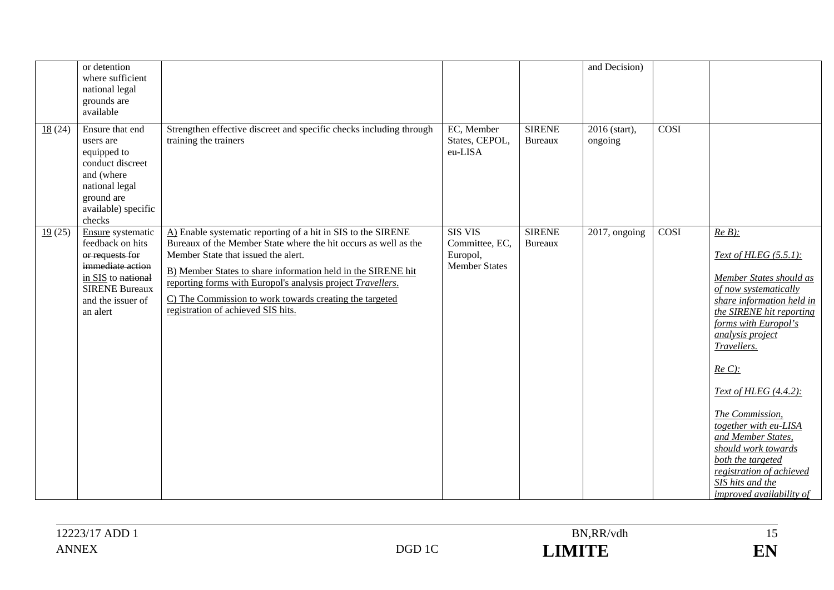| or detention<br>where sufficient<br>national legal<br>grounds are<br>available                                                                                         |                                                                                                                                                                                                                                                                                                                                                                                                        |                                                                      |                                 | and Decision)               |             |                                                                                                                                                                                                                                                                                                                                                                                                                                                  |
|------------------------------------------------------------------------------------------------------------------------------------------------------------------------|--------------------------------------------------------------------------------------------------------------------------------------------------------------------------------------------------------------------------------------------------------------------------------------------------------------------------------------------------------------------------------------------------------|----------------------------------------------------------------------|---------------------------------|-----------------------------|-------------|--------------------------------------------------------------------------------------------------------------------------------------------------------------------------------------------------------------------------------------------------------------------------------------------------------------------------------------------------------------------------------------------------------------------------------------------------|
| 18(24)<br>Ensure that end<br>users are<br>equipped to<br>conduct discreet<br>and (where<br>national legal<br>ground are<br>available) specific<br>checks               | Strengthen effective discreet and specific checks including through<br>training the trainers                                                                                                                                                                                                                                                                                                           | EC, Member<br>States, CEPOL,<br>eu-LISA                              | <b>SIRENE</b><br><b>Bureaux</b> | 2016 (start),<br>ongoing    | <b>COSI</b> |                                                                                                                                                                                                                                                                                                                                                                                                                                                  |
| 19(25)<br>Ensure systematic<br>feedback on hits<br>or requests for<br>immediate action<br>in SIS to national<br><b>SIRENE Bureaux</b><br>and the issuer of<br>an alert | A) Enable systematic reporting of a hit in SIS to the SIRENE<br>Bureaux of the Member State where the hit occurs as well as the<br>Member State that issued the alert.<br>B) Member States to share information held in the SIRENE hit<br>reporting forms with Europol's analysis project Travellers.<br>C) The Commission to work towards creating the targeted<br>registration of achieved SIS hits. | <b>SIS VIS</b><br>Committee, EC,<br>Europol,<br><b>Member States</b> | <b>SIRENE</b><br><b>Bureaux</b> | $\overline{201}$ 7, ongoing | COSI        | $Re B$ ):<br>Text of HLEG (5.5.1):<br>Member States should as<br>of now systematically<br>share information held in<br>the SIRENE hit reporting<br>forms with Europol's<br><i>analysis project</i><br>Travellers.<br>$Re C$ :<br>Text of HLEG (4.4.2):<br>The Commission,<br>together with eu-LISA<br>and Member States,<br>should work towards<br>both the targeted<br>registration of achieved<br>SIS hits and the<br>improved availability of |

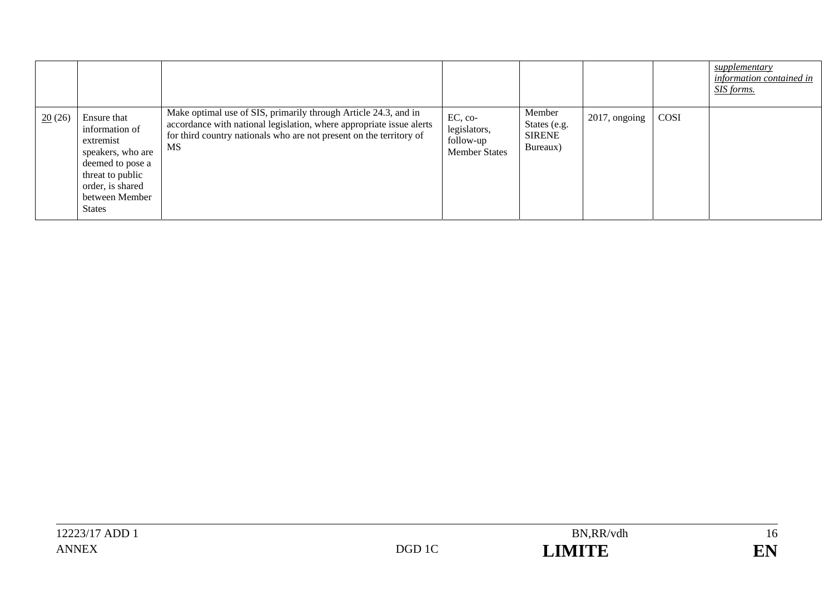|        |                                                                                                                                                                |                                                                                                                                                                                                                      |                                                              |                                                     |                  |      | supplementary<br>information contained in<br>SIS forms. |
|--------|----------------------------------------------------------------------------------------------------------------------------------------------------------------|----------------------------------------------------------------------------------------------------------------------------------------------------------------------------------------------------------------------|--------------------------------------------------------------|-----------------------------------------------------|------------------|------|---------------------------------------------------------|
| 20(26) | Ensure that<br>information of<br>extremist<br>speakers, who are<br>deemed to pose a<br>threat to public<br>order, is shared<br>between Member<br><b>States</b> | Make optimal use of SIS, primarily through Article 24.3, and in<br>accordance with national legislation, where appropriate issue alerts<br>for third country nationals who are not present on the territory of<br>MS | EC, co-<br>legislators,<br>follow-up<br><b>Member States</b> | Member<br>States (e.g.<br><b>SIRENE</b><br>Bureaux) | $2017$ , ongoing | COSI |                                                         |

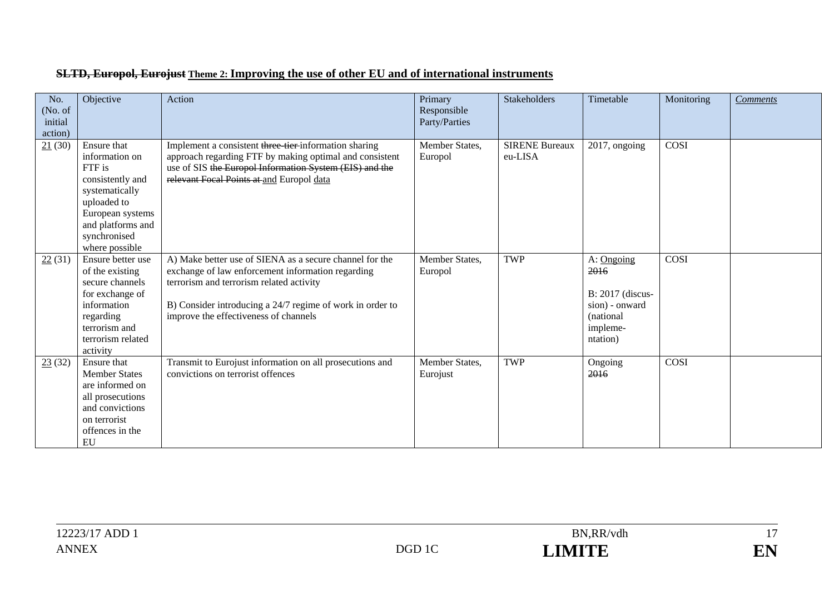| No.<br>(No. of<br>initial<br>action) | Objective                                                                                                                                                               | Action                                                                                                                                                                                                                                                         | Primary<br>Responsible<br>Party/Parties | Stakeholders                     | Timetable                                                                                     | Monitoring | <b>Comments</b> |
|--------------------------------------|-------------------------------------------------------------------------------------------------------------------------------------------------------------------------|----------------------------------------------------------------------------------------------------------------------------------------------------------------------------------------------------------------------------------------------------------------|-----------------------------------------|----------------------------------|-----------------------------------------------------------------------------------------------|------------|-----------------|
| 21(30)                               | Ensure that<br>information on<br>FTF is<br>consistently and<br>systematically<br>uploaded to<br>European systems<br>and platforms and<br>synchronised<br>where possible | Implement a consistent three tier-information sharing<br>approach regarding FTF by making optimal and consistent<br>use of SIS the Europol Information System (EIS) and the<br>relevant Focal Points at and Europol data                                       | Member States,<br>Europol               | <b>SIRENE Bureaux</b><br>eu-LISA | 2017, ongoing                                                                                 | COSI       |                 |
| 22(31)                               | Ensure better use<br>of the existing<br>secure channels<br>for exchange of<br>information<br>regarding<br>terrorism and<br>terrorism related<br>activity                | A) Make better use of SIENA as a secure channel for the<br>exchange of law enforcement information regarding<br>terrorism and terrorism related activity<br>B) Consider introducing a 24/7 regime of work in order to<br>improve the effectiveness of channels | Member States,<br>Europol               | <b>TWP</b>                       | A: Ongoing<br>2016<br>B: 2017 (discus-<br>sion) - onward<br>(national<br>impleme-<br>ntation) | COSI       |                 |
| 23(32)                               | Ensure that<br><b>Member States</b><br>are informed on<br>all prosecutions<br>and convictions<br>on terrorist<br>offences in the<br>EU                                  | Transmit to Eurojust information on all prosecutions and<br>convictions on terrorist offences                                                                                                                                                                  | Member States,<br>Eurojust              | <b>TWP</b>                       | Ongoing<br>2016                                                                               | COSI       |                 |

#### **SLTD, Europol, Eurojust Theme 2: Improving the use of other EU and of international instruments**

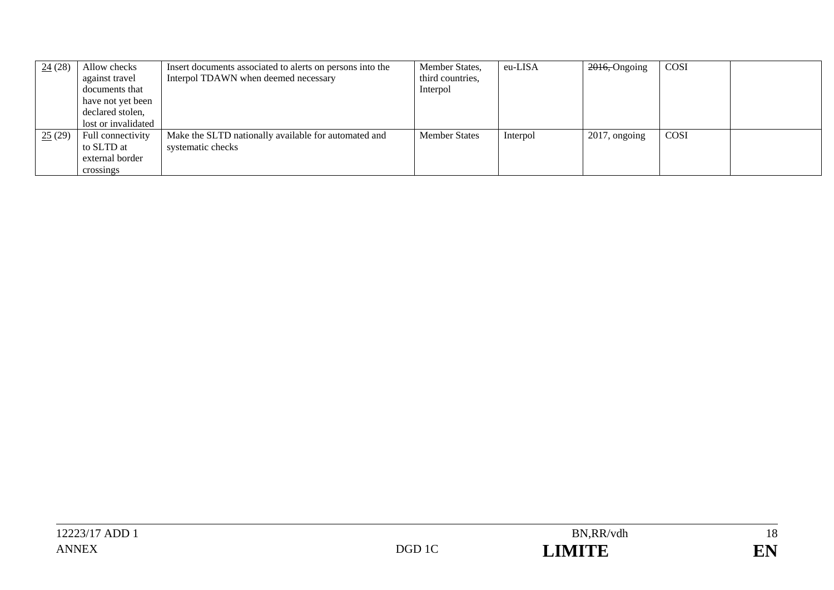| 24(28) | Allow checks<br>against travel<br>documents that<br>have not yet been | Insert documents associated to alerts on persons into the<br>Interpol TDAWN when deemed necessary | Member States,<br>third countries,<br>Interpol | eu-LISA  | 2016, Ongoing    | <b>COSI</b> |  |
|--------|-----------------------------------------------------------------------|---------------------------------------------------------------------------------------------------|------------------------------------------------|----------|------------------|-------------|--|
|        | declared stolen,                                                      |                                                                                                   |                                                |          |                  |             |  |
|        | lost or invalidated                                                   |                                                                                                   |                                                |          |                  |             |  |
| 25(29) | Full connectivity                                                     | Make the SLTD nationally available for automated and                                              | <b>Member States</b>                           | Interpol | $2017$ , ongoing | <b>COSI</b> |  |
|        | to SLTD at                                                            | systematic checks                                                                                 |                                                |          |                  |             |  |
|        | external border                                                       |                                                                                                   |                                                |          |                  |             |  |
|        | crossings                                                             |                                                                                                   |                                                |          |                  |             |  |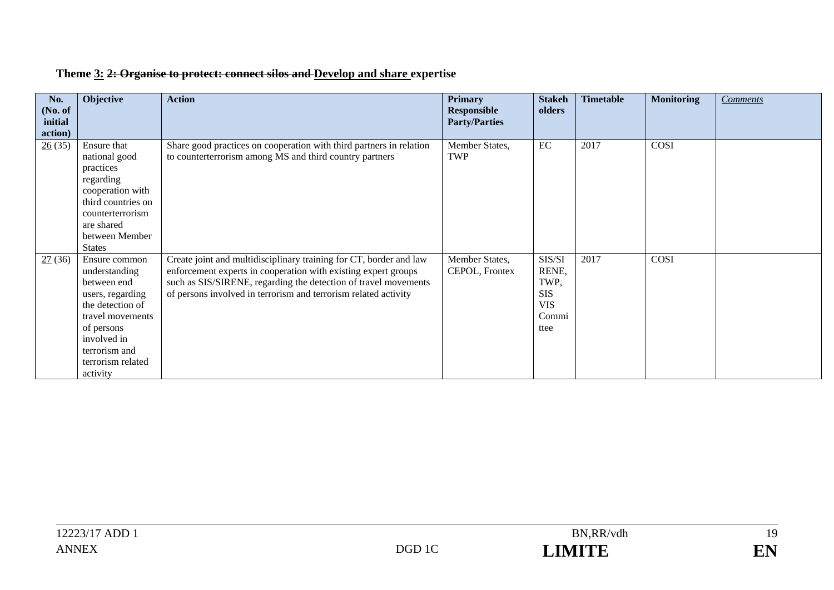| No.<br>(No. of<br>initial<br>action) | Objective                                                                                                                                                                                | <b>Action</b>                                                                                                                                                                                                                                                              | <b>Primary</b><br><b>Responsible</b><br><b>Party/Parties</b> | <b>Stakeh</b><br>olders                                              | <b>Timetable</b> | <b>Monitoring</b> | <b>Comments</b> |
|--------------------------------------|------------------------------------------------------------------------------------------------------------------------------------------------------------------------------------------|----------------------------------------------------------------------------------------------------------------------------------------------------------------------------------------------------------------------------------------------------------------------------|--------------------------------------------------------------|----------------------------------------------------------------------|------------------|-------------------|-----------------|
| 26(35)                               | Ensure that<br>national good<br>practices<br>regarding<br>cooperation with<br>third countries on<br>counterterrorism<br>are shared<br>between Member<br><b>States</b>                    | Share good practices on cooperation with third partners in relation<br>to counterterrorism among MS and third country partners                                                                                                                                             | Member States,<br>TWP                                        | EC                                                                   | 2017             | COSI              |                 |
| 27(36)                               | Ensure common<br>understanding<br>between end<br>users, regarding<br>the detection of<br>travel movements<br>of persons<br>involved in<br>terrorism and<br>terrorism related<br>activity | Create joint and multidisciplinary training for CT, border and law<br>enforcement experts in cooperation with existing expert groups<br>such as SIS/SIRENE, regarding the detection of travel movements<br>of persons involved in terrorism and terrorism related activity | Member States,<br>CEPOL, Frontex                             | SIS/SI<br>RENE,<br>TWP,<br><b>SIS</b><br><b>VIS</b><br>Commi<br>ttee | 2017             | COSI              |                 |

# **Theme 3: 2: Organise to protect: connect silos and Develop and share expertise**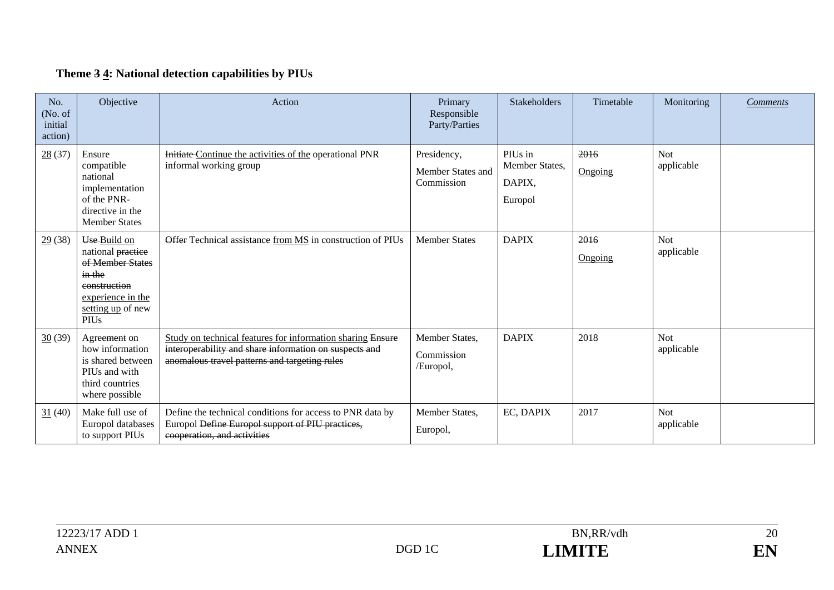# **Theme 3 4: National detection capabilities by PIUs**

| No.<br>(No. of<br>initial<br>action) | Objective                                                                                                                                                                 | Action                                                                                                                                                                | Primary<br>Responsible<br>Party/Parties        | <b>Stakeholders</b>                            | Timetable       | Monitoring               | <b>Comments</b> |
|--------------------------------------|---------------------------------------------------------------------------------------------------------------------------------------------------------------------------|-----------------------------------------------------------------------------------------------------------------------------------------------------------------------|------------------------------------------------|------------------------------------------------|-----------------|--------------------------|-----------------|
| 28(37)                               | Ensure<br>compatible<br>national<br>implementation<br>of the PNR-<br>directive in the<br><b>Member States</b>                                                             | Initiate Continue the activities of the operational PNR<br>informal working group                                                                                     | Presidency,<br>Member States and<br>Commission | PIUs in<br>Member States,<br>DAPIX,<br>Europol | 2016<br>Ongoing | <b>Not</b><br>applicable |                 |
| 29(38)                               | Use Build on<br>national practice<br>of Member States<br>$\frac{in \text{ the}}{in \text{ the}}$<br>construction<br>experience in the<br>setting up of new<br><b>PIUs</b> | Offer Technical assistance from MS in construction of PIUs                                                                                                            | <b>Member States</b>                           | <b>DAPIX</b>                                   | 2016<br>Ongoing | <b>Not</b><br>applicable |                 |
| 30(39)                               | Agreement on<br>how information<br>is shared between<br>PIUs and with<br>third countries<br>where possible                                                                | Study on technical features for information sharing Ensure<br>interoperability and share information on suspects and<br>anomalous travel patterns and targeting rules | Member States,<br>Commission<br>/Europol,      | <b>DAPIX</b>                                   | 2018            | <b>Not</b><br>applicable |                 |
| 31(40)                               | Make full use of<br>Europol databases<br>to support PIUs                                                                                                                  | Define the technical conditions for access to PNR data by<br>Europol Define Europol support of PIU practices,<br>cooperation, and activities                          | Member States,<br>Europol,                     | EC, DAPIX                                      | 2017            | Not<br>applicable        |                 |

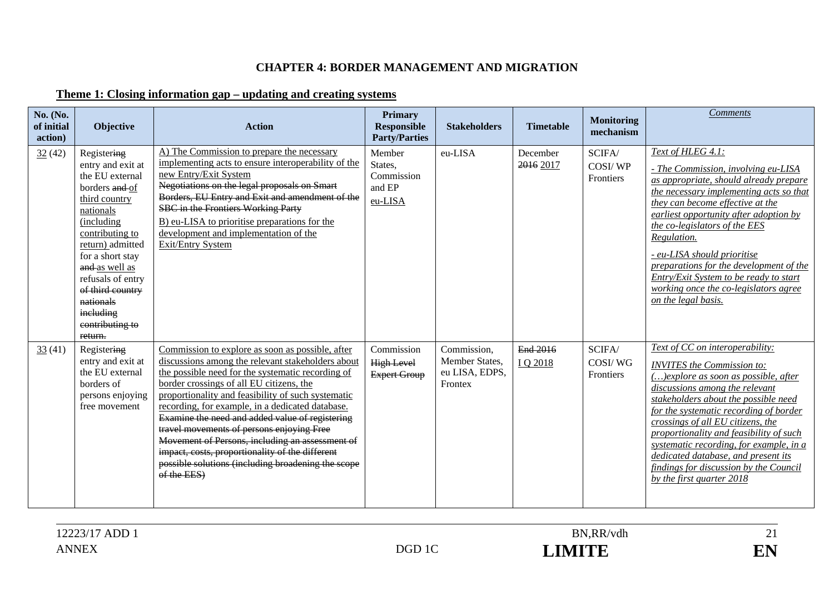#### **CHAPTER 4: BORDER MANAGEMENT AND MIGRATION**

# **Theme 1: Closing information gap – updating and creating systems**

| No. (No.<br>of initial<br>action) | Objective                                                                                                                                                                                                                                                                                       | <b>Action</b>                                                                                                                                                                                                                                                                                                                                                                                                                                                                                                                                                                               | <b>Primary</b><br><b>Responsible</b><br><b>Party/Parties</b> | <b>Stakeholders</b>                                        | <b>Timetable</b>      | <b>Monitoring</b><br>mechanism | <b>Comments</b>                                                                                                                                                                                                                                                                                                                                                                                                                                                              |
|-----------------------------------|-------------------------------------------------------------------------------------------------------------------------------------------------------------------------------------------------------------------------------------------------------------------------------------------------|---------------------------------------------------------------------------------------------------------------------------------------------------------------------------------------------------------------------------------------------------------------------------------------------------------------------------------------------------------------------------------------------------------------------------------------------------------------------------------------------------------------------------------------------------------------------------------------------|--------------------------------------------------------------|------------------------------------------------------------|-----------------------|--------------------------------|------------------------------------------------------------------------------------------------------------------------------------------------------------------------------------------------------------------------------------------------------------------------------------------------------------------------------------------------------------------------------------------------------------------------------------------------------------------------------|
| 32(42)                            | Registering<br>entry and exit at<br>the EU external<br>borders and of<br>third country<br>nationals<br>(including<br>contributing to<br>return) admitted<br>for a short stay<br>and as well as<br>refusals of entry<br>of third country<br>nationals<br>ineluding<br>contributing to<br>return. | A) The Commission to prepare the necessary<br>implementing acts to ensure interoperability of the<br>new Entry/Exit System<br>Negotiations on the legal proposals on Smart<br>Borders, EU Entry and Exit and amendment of the<br>SBC in the Frontiers Working Party<br>B) eu-LISA to prioritise preparations for the<br>development and implementation of the<br>Exit/Entry System                                                                                                                                                                                                          | Member<br>States.<br>Commission<br>and EP<br>eu-LISA         | eu-LISA                                                    | December<br>2016 2017 | SCIFA/<br>COSI/WP<br>Frontiers | Text of HLEG 4.1:<br>- The Commission, involving eu-LISA<br>as appropriate, should already prepare<br>the necessary implementing acts so that<br>they can become effective at the<br>earliest opportunity after adoption by<br>the co-legislators of the EES<br>Regulation.<br>- eu-LISA should prioritise<br>preparations for the development of the<br>Entry/Exit System to be ready to start<br>working once the co-legislators agree<br>on the legal basis.              |
| 33(41)                            | Registering<br>entry and exit at<br>the EU external<br>borders of<br>persons enjoying<br>free movement                                                                                                                                                                                          | Commission to explore as soon as possible, after<br>discussions among the relevant stakeholders about<br>the possible need for the systematic recording of<br>border crossings of all EU citizens, the<br>proportionality and feasibility of such systematic<br>recording, for example, in a dedicated database.<br>Examine the need and added value of registering<br>travel movements of persons enjoying Free<br>Movement of Persons, including an assessment of<br>impact, costs, proportionality of the different<br>possible solutions (including broadening the scope<br>of the EES) | Commission<br><b>High Level</b><br><b>Expert Group</b>       | Commission,<br>Member States,<br>eu LISA, EDPS,<br>Frontex | End 2016<br>IQ 2018   | SCIFA/<br>COSI/WG<br>Frontiers | Text of CC on interoperability:<br><b>INVITES</b> the Commission to:<br>$()$ explore as soon as possible, after<br>discussions among the relevant<br>stakeholders about the possible need<br>for the systematic recording of border<br>crossings of all EU citizens, the<br>proportionality and feasibility of such<br>systematic recording, for example, in a<br>dedicated database, and present its<br>findings for discussion by the Council<br>by the first quarter 2018 |

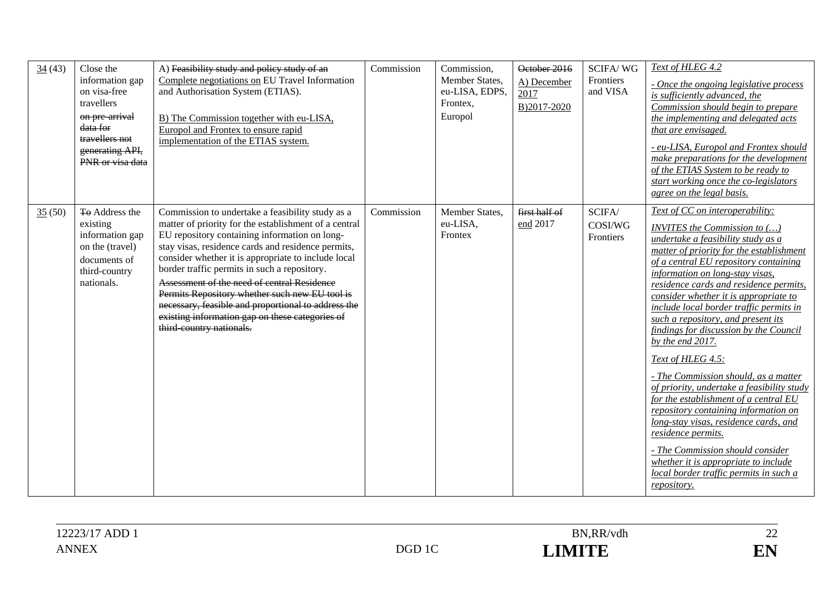| 34(43) | Close the<br>information gap<br>on visa-free<br>travellers<br>on pre arrival<br>data for<br>travellers not<br>generating API,<br>PNR or visa data | A) Feasibility study and policy study of an<br>Complete negotiations on EU Travel Information<br>and Authorisation System (ETIAS).<br>B) The Commission together with eu-LISA,<br>Europol and Frontex to ensure rapid<br>implementation of the ETIAS system.                                                                                                                                                                                                                                                                                                   | Commission | Commission,<br>Member States,<br>eu-LISA, EDPS,<br>Frontex,<br>Europol | October 2016<br>A) December<br>2017<br>B)2017-2020 | <b>SCIFA/WG</b><br>Frontiers<br>and VISA | Text of HLEG 4.2<br>- Once the ongoing legislative process<br>is sufficiently advanced, the<br>Commission should begin to prepare<br>the implementing and delegated acts<br>that are envisaged.<br>- eu-LISA, Europol and Frontex should<br>make preparations for the development<br>of the ETIAS System to be ready to<br>start working once the co-legislators<br>agree on the legal basis.                                                                                                                                                                                                                                                                                                                                                                                                                                                                          |
|--------|---------------------------------------------------------------------------------------------------------------------------------------------------|----------------------------------------------------------------------------------------------------------------------------------------------------------------------------------------------------------------------------------------------------------------------------------------------------------------------------------------------------------------------------------------------------------------------------------------------------------------------------------------------------------------------------------------------------------------|------------|------------------------------------------------------------------------|----------------------------------------------------|------------------------------------------|------------------------------------------------------------------------------------------------------------------------------------------------------------------------------------------------------------------------------------------------------------------------------------------------------------------------------------------------------------------------------------------------------------------------------------------------------------------------------------------------------------------------------------------------------------------------------------------------------------------------------------------------------------------------------------------------------------------------------------------------------------------------------------------------------------------------------------------------------------------------|
| 35(50) | <b>To Address the</b><br>existing<br>information gap<br>on the (travel)<br>documents of<br>third-country<br>nationals.                            | Commission to undertake a feasibility study as a<br>matter of priority for the establishment of a central<br>EU repository containing information on long-<br>stay visas, residence cards and residence permits,<br>consider whether it is appropriate to include local<br>border traffic permits in such a repository.<br>Assessment of the need of central Residence<br>Permits Repository whether such new EU tool is<br>necessary, feasible and proportional to address the<br>existing information gap on these categories of<br>third country nationals. | Commission | Member States,<br>eu-LISA,<br>Frontex                                  | first half of<br>end 2017                          | SCIFA/<br>COSI/WG<br>Frontiers           | Text of CC on interoperability:<br><b>INVITES</b> the Commission to ()<br>undertake a feasibility study as a<br>matter of priority for the establishment<br>of a central EU repository containing<br>information on long-stay visas,<br>residence cards and residence permits,<br>consider whether it is appropriate to<br>include local border traffic permits in<br>such a repository, and present its<br>findings for discussion by the Council<br>by the end 2017.<br>Text of HLEG 4.5:<br>- The Commission should, as a matter<br>of priority, undertake a feasibility study<br>for the establishment of a central EU<br>repository containing information on<br>long-stay visas, residence cards, and<br>residence permits.<br>- The Commission should consider<br>whether it is appropriate to include<br>local border traffic permits in such a<br>repository. |

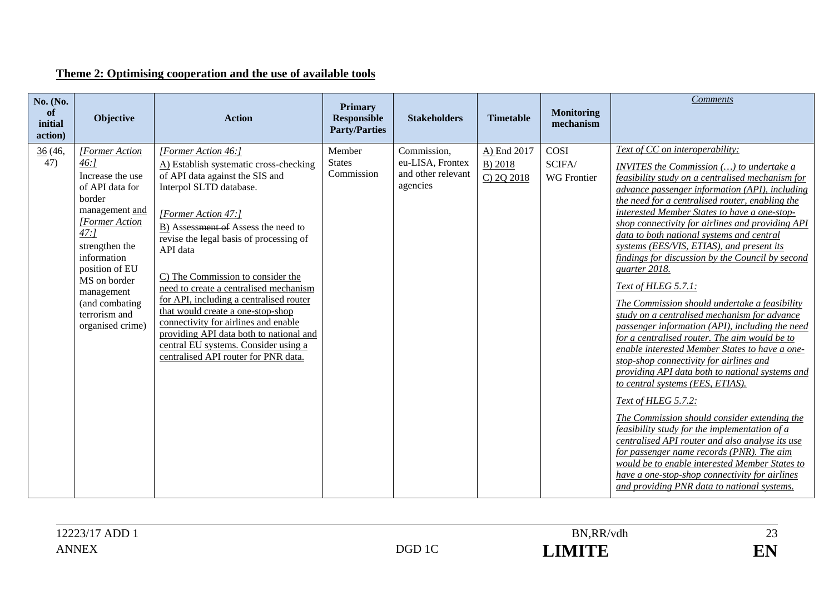# **Theme 2: Optimising cooperation and the use of available tools**

| No. (No.<br>of<br>initial<br>action) | Objective                                                                                                                                                                                                                                                      | <b>Action</b>                                                                                                                                                                                                                                                                                                                                                                                                                                                                                                                                                                      | <b>Primary</b><br><b>Responsible</b><br><b>Party/Parties</b> | <b>Stakeholders</b>                                               | <b>Timetable</b>                     | <b>Monitoring</b><br>mechanism       | <b>Comments</b>                                                                                                                                                                                                                                                                                                                                                                                                                                                                                                                                                                                                                                                                                                                                                                                                                                                                                                                                                                                                                                                                                                                                                                                                                                                                                                  |
|--------------------------------------|----------------------------------------------------------------------------------------------------------------------------------------------------------------------------------------------------------------------------------------------------------------|------------------------------------------------------------------------------------------------------------------------------------------------------------------------------------------------------------------------------------------------------------------------------------------------------------------------------------------------------------------------------------------------------------------------------------------------------------------------------------------------------------------------------------------------------------------------------------|--------------------------------------------------------------|-------------------------------------------------------------------|--------------------------------------|--------------------------------------|------------------------------------------------------------------------------------------------------------------------------------------------------------------------------------------------------------------------------------------------------------------------------------------------------------------------------------------------------------------------------------------------------------------------------------------------------------------------------------------------------------------------------------------------------------------------------------------------------------------------------------------------------------------------------------------------------------------------------------------------------------------------------------------------------------------------------------------------------------------------------------------------------------------------------------------------------------------------------------------------------------------------------------------------------------------------------------------------------------------------------------------------------------------------------------------------------------------------------------------------------------------------------------------------------------------|
| 36(46,<br>47)                        | [Former Action<br>46:1<br>Increase the use<br>of API data for<br>border<br>management and<br>[Former Action<br>$47:$ ]<br>strengthen the<br>information<br>position of EU<br>MS on border<br>management<br>(and combating<br>terrorism and<br>organised crime) | [Former Action 46:]<br>A) Establish systematic cross-checking<br>of API data against the SIS and<br>Interpol SLTD database.<br>[Former Action 47:]<br>B) Assessment of Assess the need to<br>revise the legal basis of processing of<br>API data<br>C) The Commission to consider the<br>need to create a centralised mechanism<br>for API, including a centralised router<br>that would create a one-stop-shop<br>connectivity for airlines and enable<br>providing API data both to national and<br>central EU systems. Consider using a<br>centralised API router for PNR data. | Member<br><b>States</b><br>Commission                        | Commission,<br>eu-LISA, Frontex<br>and other relevant<br>agencies | A) End 2017<br>B) 2018<br>C) 2Q 2018 | COSI<br>SCIFA/<br><b>WG</b> Frontier | Text of CC on interoperability:<br>INVITES the Commission () to undertake a<br>feasibility study on a centralised mechanism for<br>advance passenger information (API), including<br>the need for a centralised router, enabling the<br>interested Member States to have a one-stop-<br>shop connectivity for airlines and providing API<br>data to both national systems and central<br>systems (EES/VIS, ETIAS), and present its<br>findings for discussion by the Council by second<br>quarter 2018.<br><b>Text of HLEG 5.7.1:</b><br>The Commission should undertake a feasibility<br>study on a centralised mechanism for advance<br>passenger information (API), including the need<br>for a centralised router. The aim would be to<br>enable interested Member States to have a one-<br>stop-shop connectivity for airlines and<br>providing API data both to national systems and<br>to central systems (EES, ETIAS).<br><b>Text of HLEG 5.7.2:</b><br>The Commission should consider extending the<br>feasibility study for the implementation of a<br>centralised API router and also analyse its use<br>for passenger name records (PNR). The aim<br>would be to enable interested Member States to<br>have a one-stop-shop connectivity for airlines<br>and providing PNR data to national systems. |

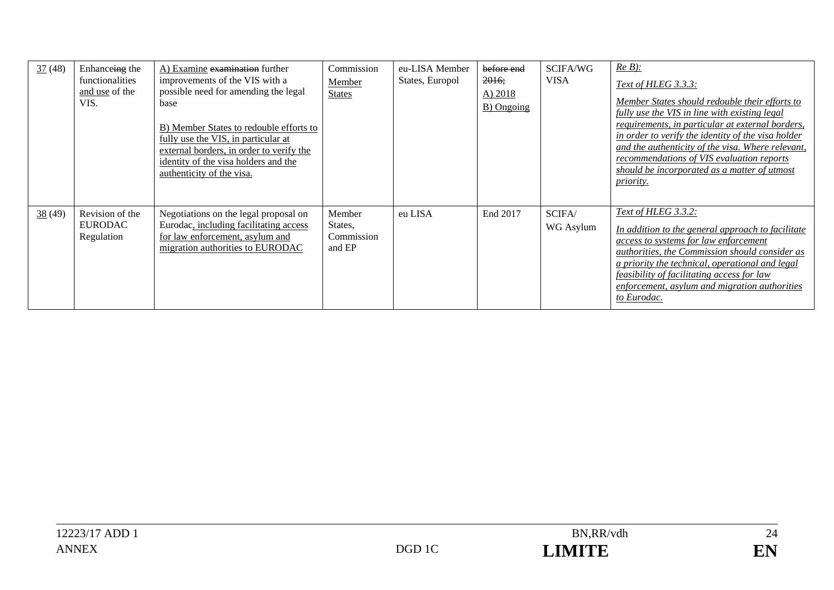| $\frac{37}{2}$ (48) | Enhanceing the<br>functionalities<br>and use of the<br>VIS. | A) Examine examination further<br>improvements of the VIS with a<br>possible need for amending the legal<br>base<br>B) Member States to redouble efforts to<br>fully use the VIS, in particular at<br>external borders, in order to verify the<br>identity of the visa holders and the<br>authenticity of the visa. | Commission<br>Member<br><b>States</b>     | eu-LISA Member<br>States, Europol | before end<br>2016;<br>A) 2018<br>B) Ongoing | SCIFA/WG<br><b>VISA</b> | $Re B)$ :<br>Text of HLEG 3.3.3:<br>Member States should redouble their efforts to<br>fully use the VIS in line with existing legal<br>requirements, in particular at external borders,<br>in order to verify the identity of the visa holder<br>and the authenticity of the visa. Where relevant,<br>recommendations of VIS evaluation reports<br>should be incorporated as a matter of utmost<br><i>priority.</i> |
|---------------------|-------------------------------------------------------------|---------------------------------------------------------------------------------------------------------------------------------------------------------------------------------------------------------------------------------------------------------------------------------------------------------------------|-------------------------------------------|-----------------------------------|----------------------------------------------|-------------------------|---------------------------------------------------------------------------------------------------------------------------------------------------------------------------------------------------------------------------------------------------------------------------------------------------------------------------------------------------------------------------------------------------------------------|
| 38(49)              | Revision of the<br><b>EURODAC</b><br>Regulation             | Negotiations on the legal proposal on<br>Eurodac, including facilitating access<br>for law enforcement, asylum and<br>migration authorities to EURODAC                                                                                                                                                              | Member<br>States,<br>Commission<br>and EP | eu LISA                           | End 2017                                     | SCIFA/<br>WG Asylum     | Text of HLEG 3.3.2:<br>In addition to the general approach to facilitate<br><i>access to systems for law enforcement</i><br>authorities, the Commission should consider as<br>a priority the technical, operational and legal<br><i>feasibility of facilitating access for law</i><br>enforcement, asylum and migration authorities<br>to Eurodac.                                                                  |

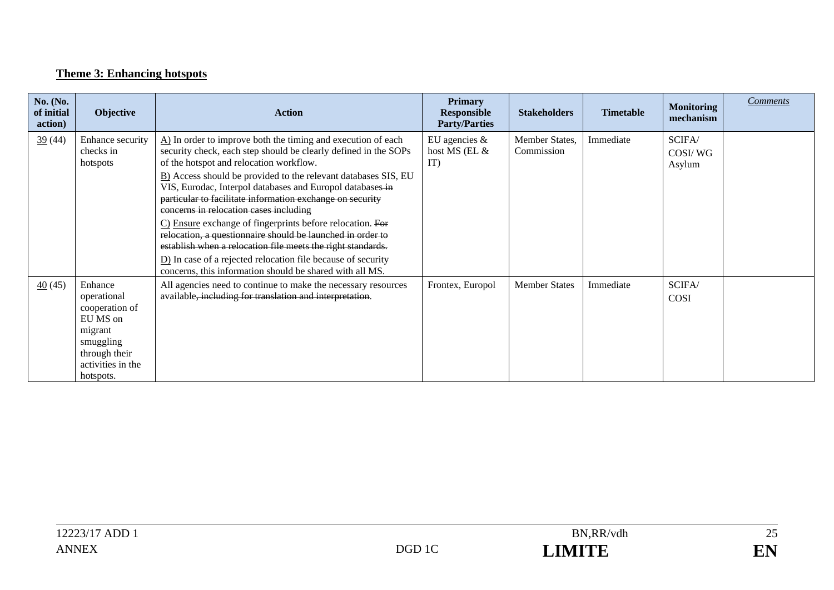# **Theme 3: Enhancing hotspots**

| No. (No.<br>of initial<br>action) | Objective                                                                                                                       | <b>Action</b>                                                                                                                                                                                                                                                                                                                                                                                                                                                                                                                                                                                                                                                                                                                                                        | <b>Primary</b><br><b>Responsible</b><br><b>Party/Parties</b> | <b>Stakeholders</b>          | <b>Timetable</b> | <b>Monitoring</b><br>mechanism | <b>Comments</b> |
|-----------------------------------|---------------------------------------------------------------------------------------------------------------------------------|----------------------------------------------------------------------------------------------------------------------------------------------------------------------------------------------------------------------------------------------------------------------------------------------------------------------------------------------------------------------------------------------------------------------------------------------------------------------------------------------------------------------------------------------------------------------------------------------------------------------------------------------------------------------------------------------------------------------------------------------------------------------|--------------------------------------------------------------|------------------------------|------------------|--------------------------------|-----------------|
| 39(44)                            | Enhance security<br>checks in<br>hotspots                                                                                       | $\Delta$ ) In order to improve both the timing and execution of each<br>security check, each step should be clearly defined in the SOPs<br>of the hotspot and relocation workflow.<br>B) Access should be provided to the relevant databases SIS, EU<br>VIS, Eurodac, Interpol databases and Europol databases in<br>particular to facilitate information exchange on security<br>concerns in relocation cases including<br>C) Ensure exchange of fingerprints before relocation. For<br>relocation, a questionnaire should be launched in order to<br>establish when a relocation file meets the right standards.<br>$\underline{\mathbf{D}}$ In case of a rejected relocation file because of security<br>concerns, this information should be shared with all MS. | EU agencies $\&$<br>host MS (EL &<br>IT)                     | Member States,<br>Commission | Immediate        | SCIFA/<br>COSI/WG<br>Asylum    |                 |
| $\frac{40}{5}$ (45)               | Enhance<br>operational<br>cooperation of<br>EU MS on<br>migrant<br>smuggling<br>through their<br>activities in the<br>hotspots. | All agencies need to continue to make the necessary resources<br>available, including for translation and interpretation.                                                                                                                                                                                                                                                                                                                                                                                                                                                                                                                                                                                                                                            | Frontex, Europol                                             | <b>Member States</b>         | Immediate        | SCIFA/<br>COSI                 |                 |

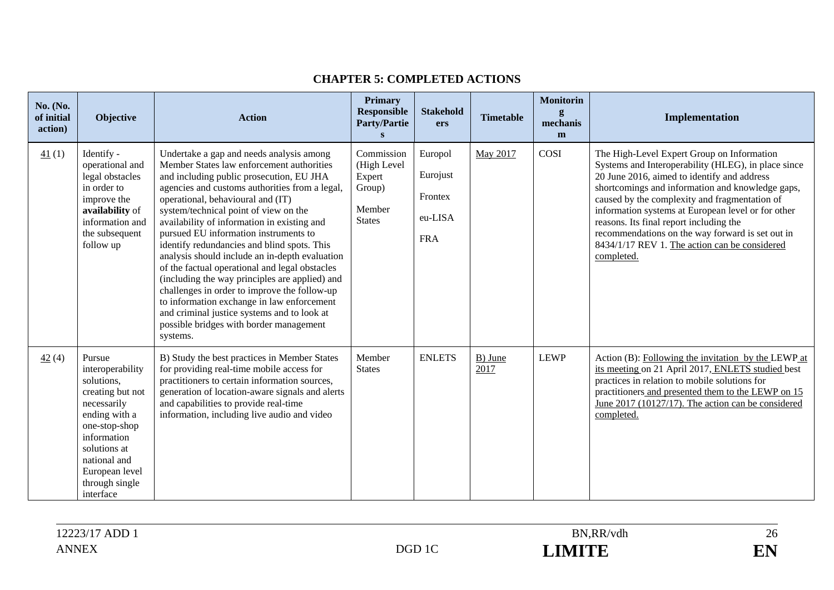| No. (No.<br>of initial<br>action) | <b>Objective</b>                                                                                                                                                                                              | <b>Action</b>                                                                                                                                                                                                                                                                                                                                                                                                                                                                                                                                                                                                                                                                                                                                                      | <b>Primary</b><br><b>Responsible</b><br><b>Party/Partie</b><br>S         | <b>Stakehold</b><br>ers                                 | <b>Timetable</b> | <b>Monitorin</b><br>g<br>mechanis<br>m | Implementation                                                                                                                                                                                                                                                                                                                                                                                                                                                            |
|-----------------------------------|---------------------------------------------------------------------------------------------------------------------------------------------------------------------------------------------------------------|--------------------------------------------------------------------------------------------------------------------------------------------------------------------------------------------------------------------------------------------------------------------------------------------------------------------------------------------------------------------------------------------------------------------------------------------------------------------------------------------------------------------------------------------------------------------------------------------------------------------------------------------------------------------------------------------------------------------------------------------------------------------|--------------------------------------------------------------------------|---------------------------------------------------------|------------------|----------------------------------------|---------------------------------------------------------------------------------------------------------------------------------------------------------------------------------------------------------------------------------------------------------------------------------------------------------------------------------------------------------------------------------------------------------------------------------------------------------------------------|
| 41(1)                             | Identify -<br>operational and<br>legal obstacles<br>in order to<br>improve the<br>availability of<br>information and<br>the subsequent<br>follow up                                                           | Undertake a gap and needs analysis among<br>Member States law enforcement authorities<br>and including public prosecution, EU JHA<br>agencies and customs authorities from a legal,<br>operational, behavioural and (IT)<br>system/technical point of view on the<br>availability of information in existing and<br>pursued EU information instruments to<br>identify redundancies and blind spots. This<br>analysis should include an in-depth evaluation<br>of the factual operational and legal obstacles<br>(including the way principles are applied) and<br>challenges in order to improve the follow-up<br>to information exchange in law enforcement<br>and criminal justice systems and to look at<br>possible bridges with border management<br>systems. | Commission<br>(High Level<br>Expert<br>Group)<br>Member<br><b>States</b> | Europol<br>Eurojust<br>Frontex<br>eu-LISA<br><b>FRA</b> | May 2017         | COSI                                   | The High-Level Expert Group on Information<br>Systems and Interoperability (HLEG), in place since<br>20 June 2016, aimed to identify and address<br>shortcomings and information and knowledge gaps,<br>caused by the complexity and fragmentation of<br>information systems at European level or for other<br>reasons. Its final report including the<br>recommendations on the way forward is set out in<br>8434/1/17 REV 1. The action can be considered<br>completed. |
| 42(4)                             | Pursue<br>interoperability<br>solutions,<br>creating but not<br>necessarily<br>ending with a<br>one-stop-shop<br>information<br>solutions at<br>national and<br>European level<br>through single<br>interface | B) Study the best practices in Member States<br>for providing real-time mobile access for<br>practitioners to certain information sources,<br>generation of location-aware signals and alerts<br>and capabilities to provide real-time<br>information, including live audio and video                                                                                                                                                                                                                                                                                                                                                                                                                                                                              | Member<br><b>States</b>                                                  | <b>ENLETS</b>                                           | B) June<br>2017  | <b>LEWP</b>                            | Action (B): Following the invitation by the LEWP at<br>its meeting on 21 April 2017, ENLETS studied best<br>practices in relation to mobile solutions for<br>practitioners and presented them to the LEWP on 15<br>June 2017 (10127/17). The action can be considered<br>completed.                                                                                                                                                                                       |

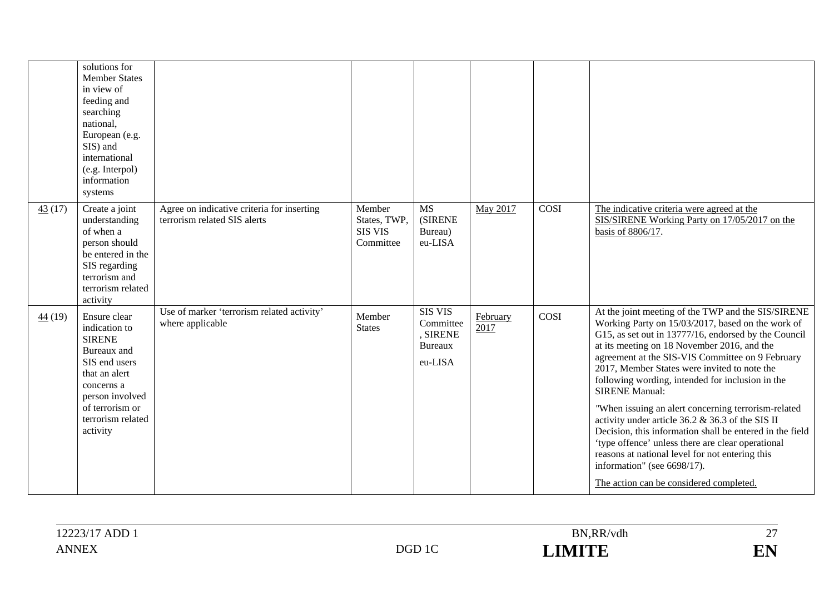|                 | solutions for<br><b>Member States</b><br>in view of<br>feeding and<br>searching<br>national,<br>European (e.g.<br>SIS) and<br>international<br>(e.g. Interpol)<br>information<br>systems |                                                                            |                                                       |                                                                      |                  |      |                                                                                                                                                                                                                                                                                                                                                                                                                                                                                                                                                                                                                                                                                                                                                          |
|-----------------|------------------------------------------------------------------------------------------------------------------------------------------------------------------------------------------|----------------------------------------------------------------------------|-------------------------------------------------------|----------------------------------------------------------------------|------------------|------|----------------------------------------------------------------------------------------------------------------------------------------------------------------------------------------------------------------------------------------------------------------------------------------------------------------------------------------------------------------------------------------------------------------------------------------------------------------------------------------------------------------------------------------------------------------------------------------------------------------------------------------------------------------------------------------------------------------------------------------------------------|
| $\frac{43}{17}$ | Create a joint<br>understanding<br>of when a<br>person should<br>be entered in the<br>SIS regarding<br>terrorism and<br>terrorism related<br>activity                                    | Agree on indicative criteria for inserting<br>terrorism related SIS alerts | Member<br>States, TWP,<br><b>SIS VIS</b><br>Committee | <b>MS</b><br><b>(SIRENE</b><br>Bureau)<br>eu-LISA                    | May 2017         | COSI | The indicative criteria were agreed at the<br>SIS/SIRENE Working Party on 17/05/2017 on the<br>basis of 8806/17.                                                                                                                                                                                                                                                                                                                                                                                                                                                                                                                                                                                                                                         |
| 44(19)          | Ensure clear<br>indication to<br><b>SIRENE</b><br>Bureaux and<br>SIS end users<br>that an alert<br>concerns a<br>person involved<br>of terrorism or<br>terrorism related<br>activity     | Use of marker 'terrorism related activity'<br>where applicable             | Member<br><b>States</b>                               | <b>SIS VIS</b><br>Committee<br>, SIRENE<br><b>Bureaux</b><br>eu-LISA | February<br>2017 | COSI | At the joint meeting of the TWP and the SIS/SIRENE<br>Working Party on 15/03/2017, based on the work of<br>G15, as set out in 13777/16, endorsed by the Council<br>at its meeting on 18 November 2016, and the<br>agreement at the SIS-VIS Committee on 9 February<br>2017, Member States were invited to note the<br>following wording, intended for inclusion in the<br><b>SIRENE Manual:</b><br>"When issuing an alert concerning terrorism-related<br>activity under article 36.2 & 36.3 of the SIS II<br>Decision, this information shall be entered in the field<br>'type offence' unless there are clear operational<br>reasons at national level for not entering this<br>information" (see 6698/17).<br>The action can be considered completed. |